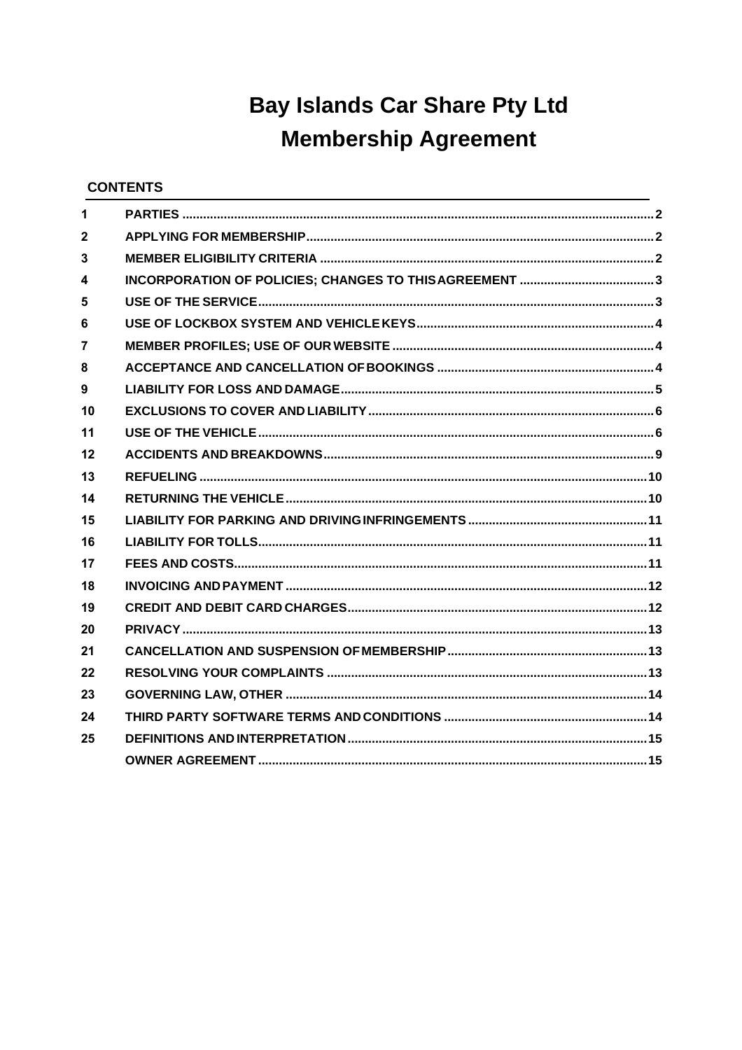# **Bay Islands Car Share Pty Ltd Membership Agreement**

# **CONTENTS**

| 1              |  |
|----------------|--|
| $\mathbf{2}$   |  |
| 3              |  |
| 4              |  |
| 5              |  |
| 6              |  |
| $\overline{7}$ |  |
| 8              |  |
| 9              |  |
| 10             |  |
| 11             |  |
| 12             |  |
| 13             |  |
| 14             |  |
| 15             |  |
| 16             |  |
| 17             |  |
| 18             |  |
| 19             |  |
| 20             |  |
| 21             |  |
| 22             |  |
| 23             |  |
| 24             |  |
| 25             |  |
|                |  |
|                |  |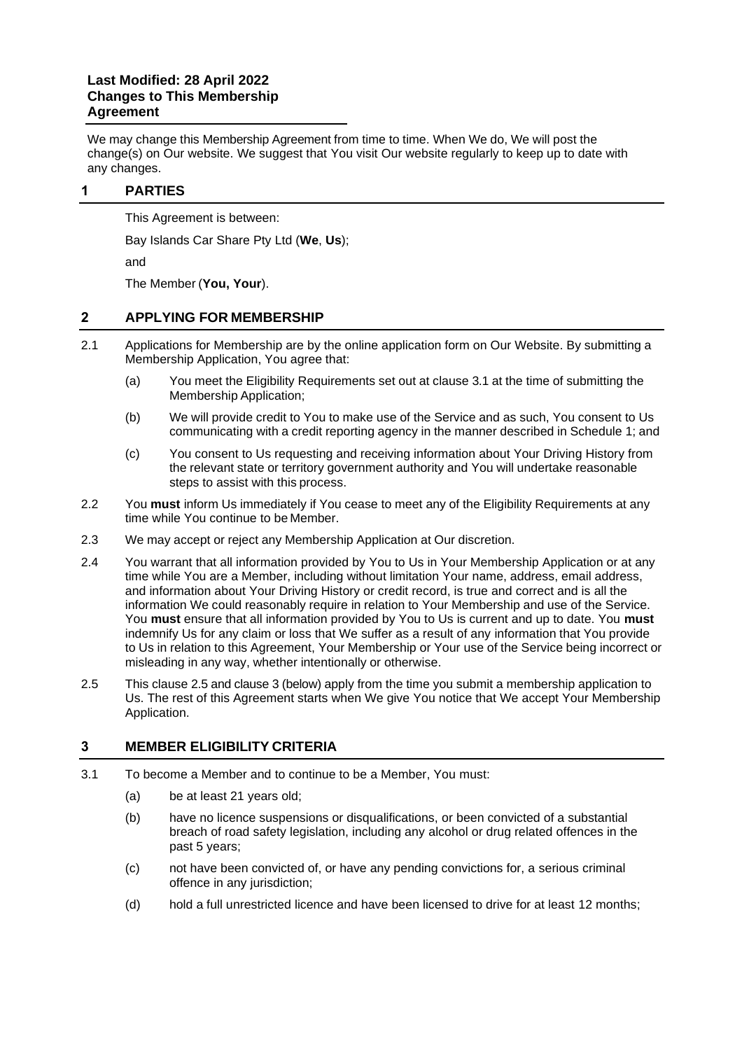#### **Last Modified: 28 April 2022 Changes to This Membership Agreement**

We may change this Membership Agreement from time to time. When We do, We will post the change(s) on Our website. We suggest that You visit Our website regularly to keep up to date with any changes.

#### <span id="page-1-0"></span>**1 PARTIES**

This Agreement is between:

Bay Islands Car Share Pty Ltd (**We**, **Us**);

and

The Member (**You, Your**).

#### <span id="page-1-1"></span>**2 APPLYING FOR MEMBERSHIP**

- 2.1 Applications for Membership are by the online application form on Our Website. By submitting a Membership Application, You agree that:
	- (a) You meet the Eligibility Requirements set out at clause [3.1](#page-1-3) at the time of submitting the Membership Application;
	- (b) We will provide credit to You to make use of the Service and as such, You consent to Us communicating with a credit reporting agency in the manner described in Schedule 1; and
	- (c) You consent to Us requesting and receiving information about Your Driving History from the relevant state or territory government authority and You will undertake reasonable steps to assist with this process.
- 2.2 You **must** inform Us immediately if You cease to meet any of the Eligibility Requirements at any time while You continue to be Member.
- 2.3 We may accept or reject any Membership Application at Our discretion.
- 2.4 You warrant that all information provided by You to Us in Your Membership Application or at any time while You are a Member, including without limitation Your name, address, email address, and information about Your Driving History or credit record, is true and correct and is all the information We could reasonably require in relation to Your Membership and use of the Service. You **must** ensure that all information provided by You to Us is current and up to date. You **must**  indemnify Us for any claim or loss that We suffer as a result of any information that You provide to Us in relation to this Agreement, Your Membership or Your use of the Service being incorrect or misleading in any way, whether intentionally or otherwise.
- <span id="page-1-4"></span>2.5 This clause [2.5](#page-1-4) and clause [3](#page-1-2) (below) apply from the time you submit a membership application to Us. The rest of this Agreement starts when We give You notice that We accept Your Membership Application.

#### <span id="page-1-2"></span>**3 MEMBER ELIGIBILITY CRITERIA**

- <span id="page-1-3"></span>3.1 To become a Member and to continue to be a Member, You must:
	- (a) be at least 21 years old;
	- (b) have no licence suspensions or disqualifications, or been convicted of a substantial breach of road safety legislation, including any alcohol or drug related offences in the past 5 years;
	- (c) not have been convicted of, or have any pending convictions for, a serious criminal offence in any jurisdiction;
	- (d) hold a full unrestricted licence and have been licensed to drive for at least 12 months;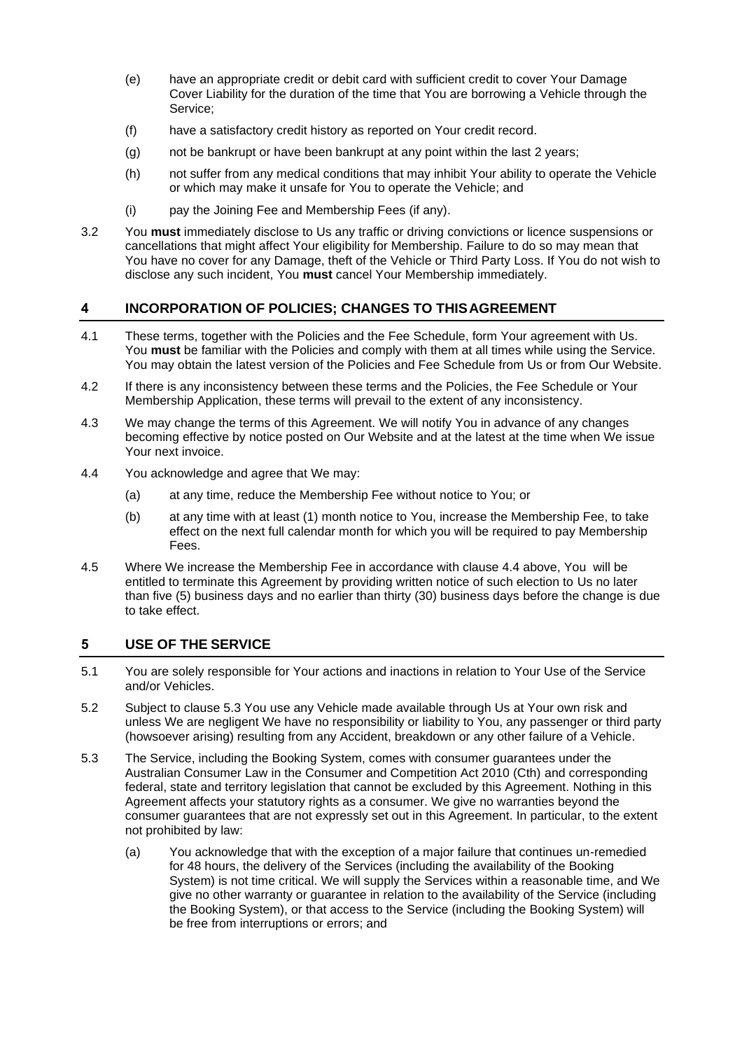- (e) have an appropriate credit or debit card with sufficient credit to cover Your Damage Cover Liability for the duration of the time that You are borrowing a Vehicle through the Service;
- (f) have a satisfactory credit history as reported on Your credit record.
- (g) not be bankrupt or have been bankrupt at any point within the last 2 years;
- (h) not suffer from any medical conditions that may inhibit Your ability to operate the Vehicle or which may make it unsafe for You to operate the Vehicle; and
- (i) pay the Joining Fee and Membership Fees (if any).
- 3.2 You **must** immediately disclose to Us any traffic or driving convictions or licence suspensions or cancellations that might affect Your eligibility for Membership. Failure to do so may mean that You have no cover for any Damage, theft of the Vehicle or Third Party Loss. If You do not wish to disclose any such incident, You **must** cancel Your Membership immediately.

#### <span id="page-2-0"></span>**4 INCORPORATION OF POLICIES; CHANGES TO THISAGREEMENT**

- 4.1 These terms, together with the Policies and the Fee Schedule, form Your agreement with Us. You **must** be familiar with the Policies and comply with them at all times while using the Service. You may obtain the latest version of the Policies and Fee Schedule from Us or from Our Website.
- 4.2 If there is any inconsistency between these terms and the Policies, the Fee Schedule or Your Membership Application, these terms will prevail to the extent of any inconsistency.
- 4.3 We may change the terms of this Agreement. We will notify You in advance of any changes becoming effective by notice posted on Our Website and at the latest at the time when We issue Your next invoice.
- 4.4 You acknowledge and agree that We may:
	- (a) at any time, reduce the Membership Fee without notice to You; or
	- (b) at any time with at least (1) month notice to You, increase the Membership Fee, to take effect on the next full calendar month for which you will be required to pay Membership Fees.
- 4.5 Where We increase the Membership Fee in accordance with clause 4.4 above, You will be entitled to terminate this Agreement by providing written notice of such election to Us no later than five (5) business days and no earlier than thirty (30) business days before the change is due to take effect.

#### <span id="page-2-1"></span>**5 USE OF THE SERVICE**

- 5.1 You are solely responsible for Your actions and inactions in relation to Your Use of the Service and/or Vehicles.
- 5.2 Subject to clause [5.3](#page-2-2) You use any Vehicle made available through Us at Your own risk and unless We are negligent We have no responsibility or liability to You, any passenger or third party (howsoever arising) resulting from any Accident, breakdown or any other failure of a Vehicle.
- <span id="page-2-2"></span>5.3 The Service, including the Booking System, comes with consumer guarantees under the Australian Consumer Law in the Consumer and Competition Act 2010 (Cth) and corresponding federal, state and territory legislation that cannot be excluded by this Agreement. Nothing in this Agreement affects your statutory rights as a consumer. We give no warranties beyond the consumer guarantees that are not expressly set out in this Agreement. In particular, to the extent not prohibited by law:
	- (a) You acknowledge that with the exception of a major failure that continues un-remedied for 48 hours, the delivery of the Services (including the availability of the Booking System) is not time critical. We will supply the Services within a reasonable time, and We give no other warranty or guarantee in relation to the availability of the Service (including the Booking System), or that access to the Service (including the Booking System) will be free from interruptions or errors; and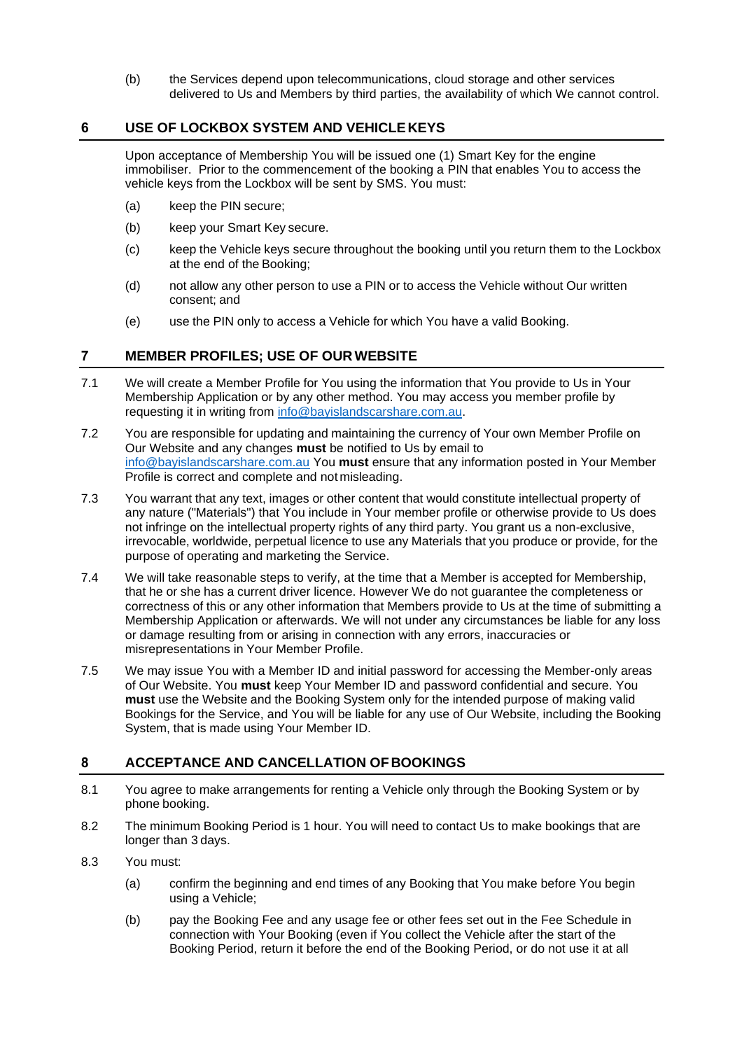(b) the Services depend upon telecommunications, cloud storage and other services delivered to Us and Members by third parties, the availability of which We cannot control.

#### <span id="page-3-0"></span>**6 USE OF LOCKBOX SYSTEM AND VEHICLE KEYS**

Upon acceptance of Membership You will be issued one (1) Smart Key for the engine immobiliser. Prior to the commencement of the booking a PIN that enables You to access the vehicle keys from the Lockbox will be sent by SMS. You must:

- (a) keep the PIN secure;
- (b) keep your Smart Key secure.
- (c) keep the Vehicle keys secure throughout the booking until you return them to the Lockbox at the end of the Booking;
- (d) not allow any other person to use a PIN or to access the Vehicle without Our written consent; and
- (e) use the PIN only to access a Vehicle for which You have a valid Booking.

#### <span id="page-3-1"></span>**7 MEMBER PROFILES; USE OF OUR WEBSITE**

- 7.1 We will create a Member Profile for You using the information that You provide to Us in Your Membership Application or by any other method. You may access you member profile by requesting it in writing from [info@bayislandscarshare.com.au.](mailto:info@bayislandscarshare.com.au)
- 7.2 You are responsible for updating and maintaining the currency of Your own Member Profile on Our Website and any changes **must** be notified to Us by email to [info@bayislandscarshare.com.au](mailto:info@bayislandscarshare.com.au) You **must** ensure that any information posted in Your Member Profile is correct and complete and not misleading.
- 7.3 You warrant that any text, images or other content that would constitute intellectual property of any nature ("Materials") that You include in Your member profile or otherwise provide to Us does not infringe on the intellectual property rights of any third party. You grant us a non-exclusive, irrevocable, worldwide, perpetual licence to use any Materials that you produce or provide, for the purpose of operating and marketing the Service.
- 7.4 We will take reasonable steps to verify, at the time that a Member is accepted for Membership, that he or she has a current driver licence. However We do not guarantee the completeness or correctness of this or any other information that Members provide to Us at the time of submitting a Membership Application or afterwards. We will not under any circumstances be liable for any loss or damage resulting from or arising in connection with any errors, inaccuracies or misrepresentations in Your Member Profile.
- 7.5 We may issue You with a Member ID and initial password for accessing the Member-only areas of Our Website. You **must** keep Your Member ID and password confidential and secure. You **must** use the Website and the Booking System only for the intended purpose of making valid Bookings for the Service, and You will be liable for any use of Our Website, including the Booking System, that is made using Your Member ID.

#### <span id="page-3-2"></span>**8 ACCEPTANCE AND CANCELLATION OFBOOKINGS**

- 8.1 You agree to make arrangements for renting a Vehicle only through the Booking System or by phone booking.
- 8.2 The minimum Booking Period is 1 hour. You will need to contact Us to make bookings that are longer than 3 days.
- 8.3 You must:
	- (a) confirm the beginning and end times of any Booking that You make before You begin using a Vehicle;
	- (b) pay the Booking Fee and any usage fee or other fees set out in the Fee Schedule in connection with Your Booking (even if You collect the Vehicle after the start of the Booking Period, return it before the end of the Booking Period, or do not use it at all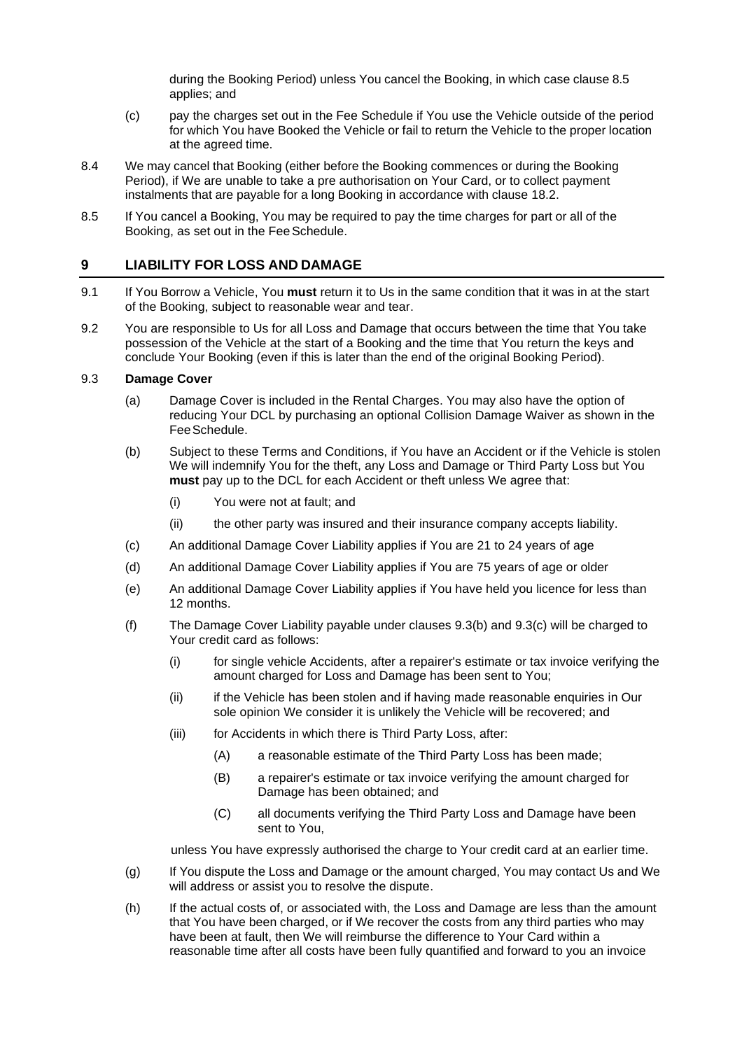during the Booking Period) unless You cancel the Booking, in which case clause [8.5](#page-4-1) applies; and

- (c) pay the charges set out in the Fee Schedule if You use the Vehicle outside of the period for which You have Booked the Vehicle or fail to return the Vehicle to the proper location at the agreed time.
- 8.4 We may cancel that Booking (either before the Booking commences or during the Booking Period), if We are unable to take a pre authorisation on Your Card, or to collect payment instalments that are payable for a long Booking in accordance with clause [18.2.](#page-11-2)
- <span id="page-4-1"></span>8.5 If You cancel a Booking, You may be required to pay the time charges for part or all of the Booking, as set out in the FeeSchedule.

#### <span id="page-4-0"></span>**9 LIABILITY FOR LOSS AND DAMAGE**

- 9.1 If You Borrow a Vehicle, You **must** return it to Us in the same condition that it was in at the start of the Booking, subject to reasonable wear and tear.
- 9.2 You are responsible to Us for all Loss and Damage that occurs between the time that You take possession of the Vehicle at the start of a Booking and the time that You return the keys and conclude Your Booking (even if this is later than the end of the original Booking Period).

#### 9.3 **Damage Cover**

- (a) Damage Cover is included in the Rental Charges. You may also have the option of reducing Your DCL by purchasing an optional Collision Damage Waiver as shown in the FeeSchedule.
- <span id="page-4-2"></span>(b) Subject to these Terms and Conditions, if You have an Accident or if the Vehicle is stolen We will indemnify You for the theft, any Loss and Damage or Third Party Loss but You **must** pay up to the DCL for each Accident or theft unless We agree that:
	- (i) You were not at fault; and
	- (ii) the other party was insured and their insurance company accepts liability.
- <span id="page-4-3"></span>(c) An additional Damage Cover Liability applies if You are 21 to 24 years of age
- (d) An additional Damage Cover Liability applies if You are 75 years of age or older
- (e) An additional Damage Cover Liability applies if You have held you licence for less than 12 months.
- (f) The Damage Cover Liability payable under clauses [9.3\(b\)](#page-4-2) and [9.3\(c\)](#page-4-3) will be charged to Your credit card as follows:
	- (i) for single vehicle Accidents, after a repairer's estimate or tax invoice verifying the amount charged for Loss and Damage has been sent to You;
	- (ii) if the Vehicle has been stolen and if having made reasonable enquiries in Our sole opinion We consider it is unlikely the Vehicle will be recovered; and
	- (iii) for Accidents in which there is Third Party Loss, after:
		- (A) a reasonable estimate of the Third Party Loss has been made;
		- (B) a repairer's estimate or tax invoice verifying the amount charged for Damage has been obtained; and
		- (C) all documents verifying the Third Party Loss and Damage have been sent to You,

unless You have expressly authorised the charge to Your credit card at an earlier time.

- (g) If You dispute the Loss and Damage or the amount charged, You may contact Us and We will address or assist you to resolve the dispute.
- (h) If the actual costs of, or associated with, the Loss and Damage are less than the amount that You have been charged, or if We recover the costs from any third parties who may have been at fault, then We will reimburse the difference to Your Card within a reasonable time after all costs have been fully quantified and forward to you an invoice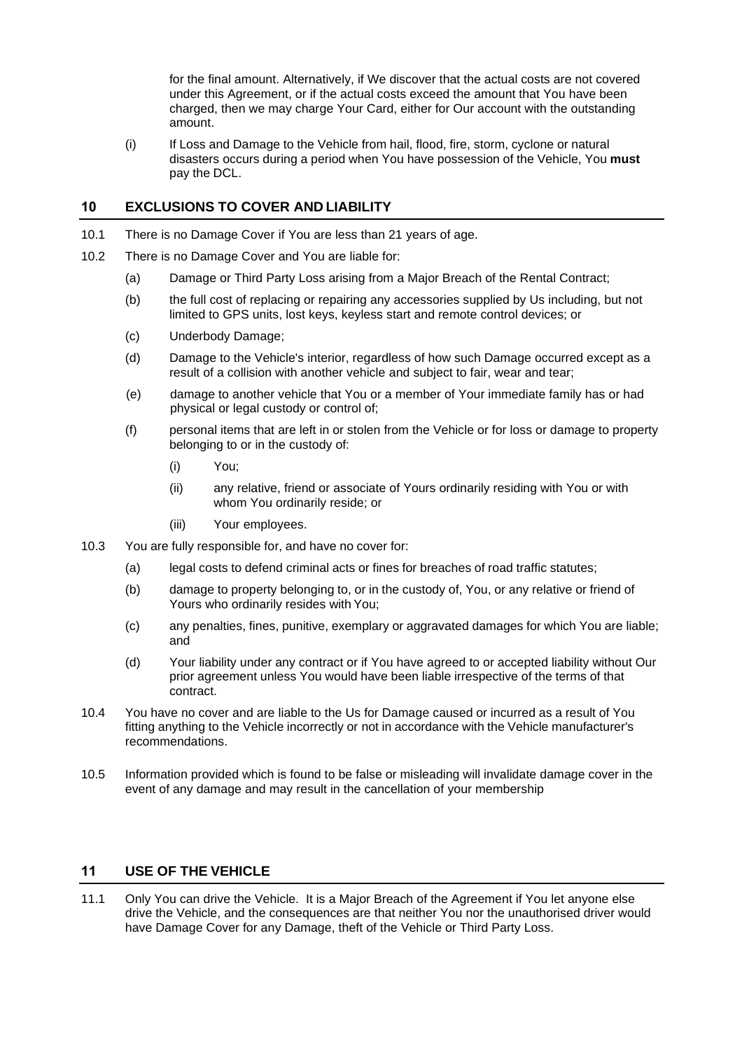for the final amount. Alternatively, if We discover that the actual costs are not covered under this Agreement, or if the actual costs exceed the amount that You have been charged, then we may charge Your Card, either for Our account with the outstanding amount.

(i) If Loss and Damage to the Vehicle from hail, flood, fire, storm, cyclone or natural disasters occurs during a period when You have possession of the Vehicle, You **must**  pay the DCL.

#### <span id="page-5-0"></span>**10 EXCLUSIONS TO COVER AND LIABILITY**

- 10.1 There is no Damage Cover if You are less than 21 years of age.
- 10.2 There is no Damage Cover and You are liable for:
	- (a) Damage or Third Party Loss arising from a Major Breach of the Rental Contract;
	- (b) the full cost of replacing or repairing any accessories supplied by Us including, but not limited to GPS units, lost keys, keyless start and remote control devices; or
	- (c) Underbody Damage;
	- (d) Damage to the Vehicle's interior, regardless of how such Damage occurred except as a result of a collision with another vehicle and subject to fair, wear and tear;
	- (e) damage to another vehicle that You or a member of Your immediate family has or had physical or legal custody or control of;
	- (f) personal items that are left in or stolen from the Vehicle or for loss or damage to property belonging to or in the custody of:
		- (i) You;
		- (ii) any relative, friend or associate of Yours ordinarily residing with You or with whom You ordinarily reside; or
		- (iii) Your employees.
- 10.3 You are fully responsible for, and have no cover for:
	- (a) legal costs to defend criminal acts or fines for breaches of road traffic statutes;
	- (b) damage to property belonging to, or in the custody of, You, or any relative or friend of Yours who ordinarily resides with You;
	- (c) any penalties, fines, punitive, exemplary or aggravated damages for which You are liable; and
	- (d) Your liability under any contract or if You have agreed to or accepted liability without Our prior agreement unless You would have been liable irrespective of the terms of that contract.
- 10.4 You have no cover and are liable to the Us for Damage caused or incurred as a result of You fitting anything to the Vehicle incorrectly or not in accordance with the Vehicle manufacturer's recommendations.
- 10.5 Information provided which is found to be false or misleading will invalidate damage cover in the event of any damage and may result in the cancellation of your membership

#### <span id="page-5-1"></span>**11 USE OF THE VEHICLE**

<span id="page-5-2"></span>11.1 Only You can drive the Vehicle. It is a Major Breach of the Agreement if You let anyone else drive the Vehicle, and the consequences are that neither You nor the unauthorised driver would have Damage Cover for any Damage, theft of the Vehicle or Third Party Loss.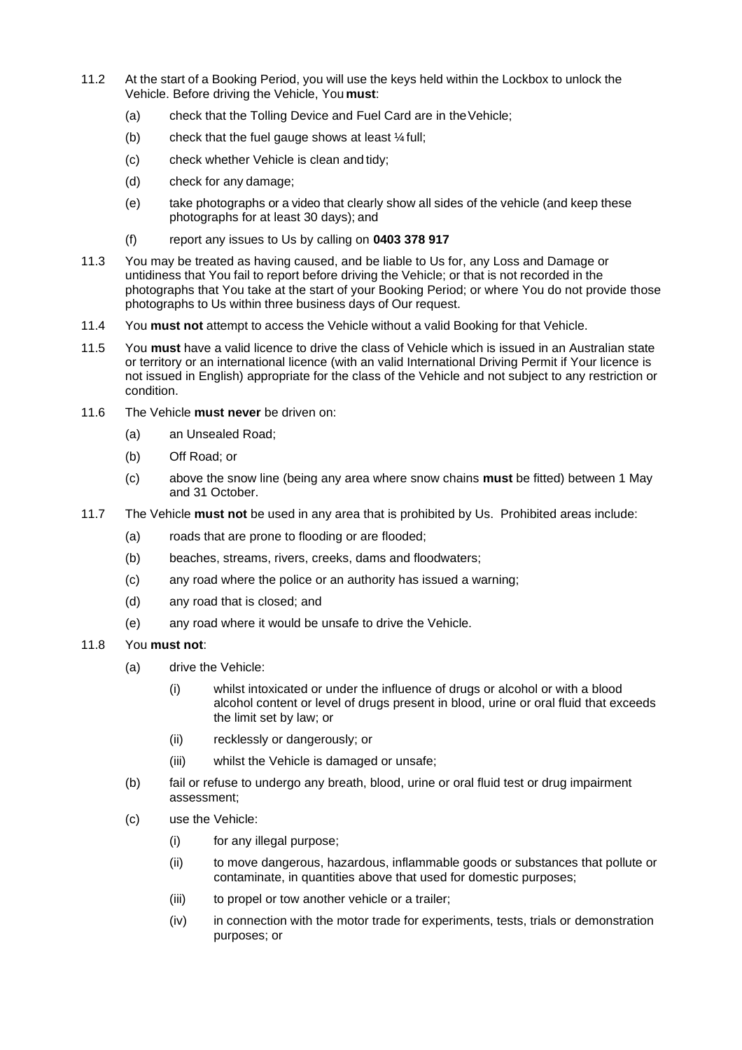- 11.2 At the start of a Booking Period, you will use the keys held within the Lockbox to unlock the Vehicle. Before driving the Vehicle, You **must**:
	- (a) check that the Tolling Device and Fuel Card are in theVehicle;
	- (b) check that the fuel gauge shows at least  $\frac{1}{4}$  full;
	- (c) check whether Vehicle is clean and tidy;
	- (d) check for any damage;
	- (e) take photographs or a video that clearly show all sides of the vehicle (and keep these photographs for at least 30 days); and
	- (f) report any issues to Us by calling on **0403 378 917**
- 11.3 You may be treated as having caused, and be liable to Us for, any Loss and Damage or untidiness that You fail to report before driving the Vehicle; or that is not recorded in the photographs that You take at the start of your Booking Period; or where You do not provide those photographs to Us within three business days of Our request.
- <span id="page-6-0"></span>11.4 You **must not** attempt to access the Vehicle without a valid Booking for that Vehicle.
- <span id="page-6-1"></span>11.5 You **must** have a valid licence to drive the class of Vehicle which is issued in an Australian state or territory or an international licence (with an valid International Driving Permit if Your licence is not issued in English) appropriate for the class of the Vehicle and not subject to any restriction or condition.
- <span id="page-6-2"></span>11.6 The Vehicle **must never** be driven on:
	- (a) an Unsealed Road;
	- (b) Off Road; or
	- (c) above the snow line (being any area where snow chains **must** be fitted) between 1 May and 31 October.
- <span id="page-6-3"></span>11.7 The Vehicle **must not** be used in any area that is prohibited by Us. Prohibited areas include:
	- (a) roads that are prone to flooding or are flooded;
	- (b) beaches, streams, rivers, creeks, dams and floodwaters;
	- (c) any road where the police or an authority has issued a warning;
	- (d) any road that is closed; and
	- (e) any road where it would be unsafe to drive the Vehicle.
- <span id="page-6-4"></span>11.8 You **must not**:
	- (a) drive the Vehicle:
		- (i) whilst intoxicated or under the influence of drugs or alcohol or with a blood alcohol content or level of drugs present in blood, urine or oral fluid that exceeds the limit set by law; or
		- (ii) recklessly or dangerously; or
		- (iii) whilst the Vehicle is damaged or unsafe;
	- (b) fail or refuse to undergo any breath, blood, urine or oral fluid test or drug impairment assessment;
	- (c) use the Vehicle:
		- (i) for any illegal purpose;
		- (ii) to move dangerous, hazardous, inflammable goods or substances that pollute or contaminate, in quantities above that used for domestic purposes;
		- (iii) to propel or tow another vehicle or a trailer;
		- (iv) in connection with the motor trade for experiments, tests, trials or demonstration purposes; or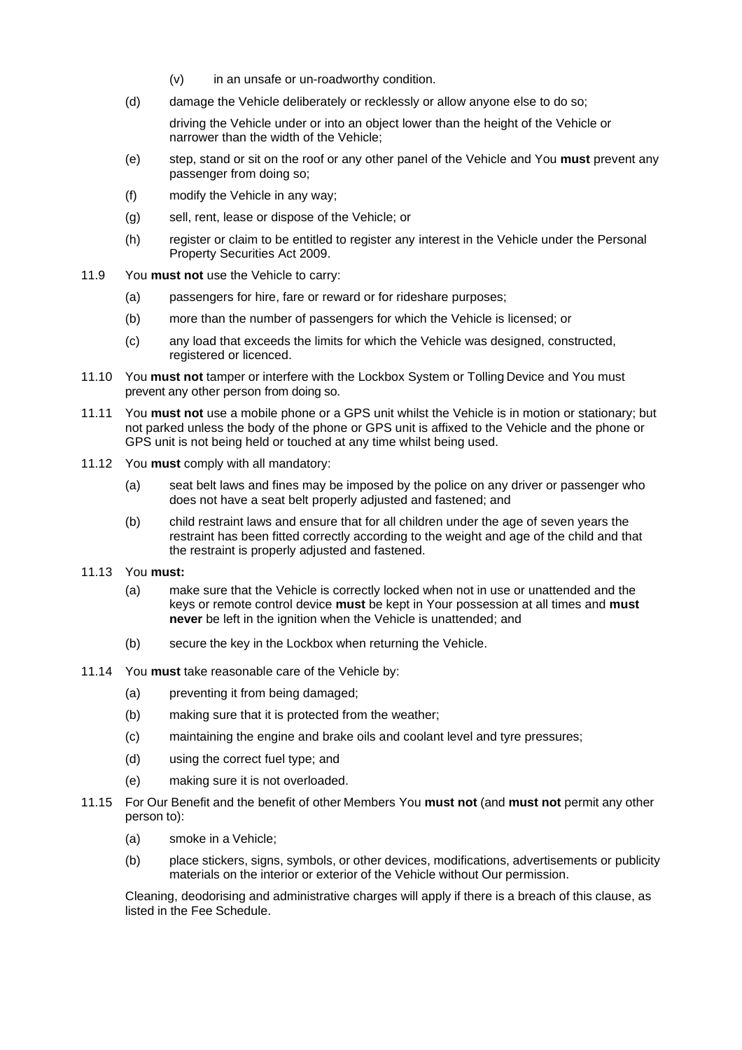- (v) in an unsafe or un-roadworthy condition.
- (d) damage the Vehicle deliberately or recklessly or allow anyone else to do so;

driving the Vehicle under or into an object lower than the height of the Vehicle or narrower than the width of the Vehicle;

- (e) step, stand or sit on the roof or any other panel of the Vehicle and You **must** prevent any passenger from doing so;
- (f) modify the Vehicle in any way;
- (g) sell, rent, lease or dispose of the Vehicle; or
- (h) register or claim to be entitled to register any interest in the Vehicle under the Personal Property Securities Act 2009.
- <span id="page-7-0"></span>11.9 You **must not** use the Vehicle to carry:
	- (a) passengers for hire, fare or reward or for rideshare purposes;
	- (b) more than the number of passengers for which the Vehicle is licensed; or
	- (c) any load that exceeds the limits for which the Vehicle was designed, constructed, registered or licenced.
- <span id="page-7-1"></span>11.10 You **must not** tamper or interfere with the Lockbox System or Tolling Device and You must prevent any other person from doing so.
- <span id="page-7-2"></span>11.11 You **must not** use a mobile phone or a GPS unit whilst the Vehicle is in motion or stationary; but not parked unless the body of the phone or GPS unit is affixed to the Vehicle and the phone or GPS unit is not being held or touched at any time whilst being used.
- 11.12 You **must** comply with all mandatory:
	- (a) seat belt laws and fines may be imposed by the police on any driver or passenger who does not have a seat belt properly adjusted and fastened; and
	- (b) child restraint laws and ensure that for all children under the age of seven years the restraint has been fitted correctly according to the weight and age of the child and that the restraint is properly adjusted and fastened.
- <span id="page-7-3"></span>11.13 You **must:**
	- (a) make sure that the Vehicle is correctly locked when not in use or unattended and the keys or remote control device **must** be kept in Your possession at all times and **must never** be left in the ignition when the Vehicle is unattended; and
	- (b) secure the key in the Lockbox when returning the Vehicle.
- <span id="page-7-4"></span>11.14 You **must** take reasonable care of the Vehicle by:
	- (a) preventing it from being damaged;
	- (b) making sure that it is protected from the weather;
	- (c) maintaining the engine and brake oils and coolant level and tyre pressures;
	- (d) using the correct fuel type; and
	- (e) making sure it is not overloaded.
- 11.15 For Our Benefit and the benefit of other Members You **must not** (and **must not** permit any other person to):
	- (a) smoke in a Vehicle;
	- (b) place stickers, signs, symbols, or other devices, modifications, advertisements or publicity materials on the interior or exterior of the Vehicle without Our permission.

Cleaning, deodorising and administrative charges will apply if there is a breach of this clause, as listed in the Fee Schedule.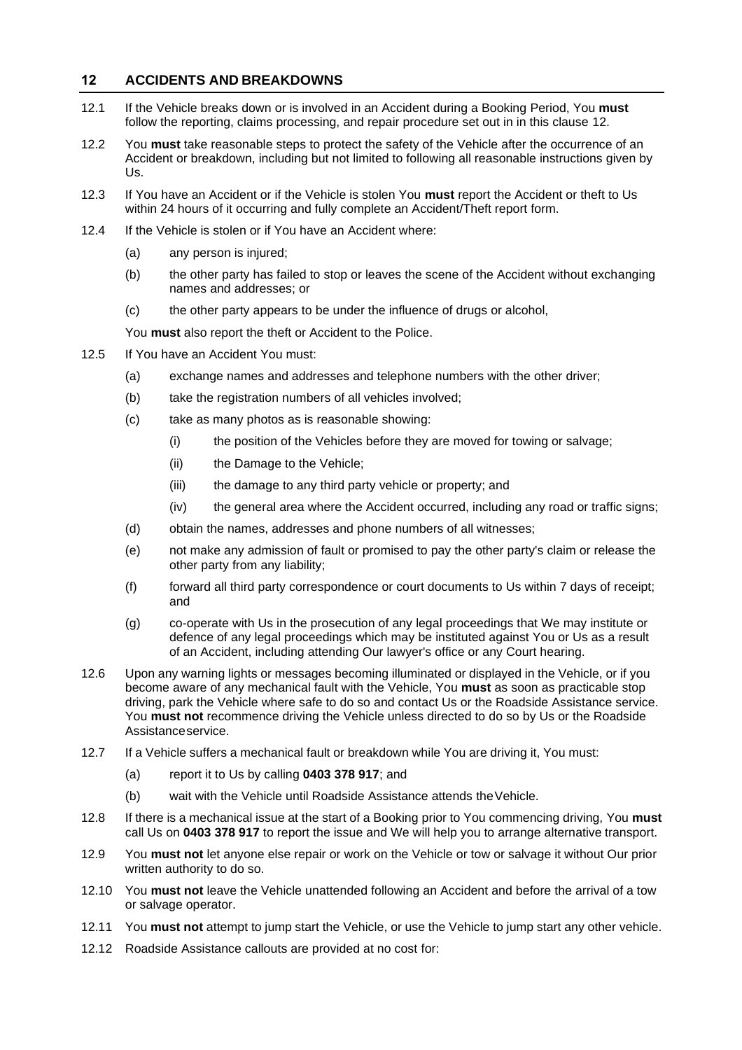#### <span id="page-8-0"></span>**12 ACCIDENTS AND BREAKDOWNS**

- 12.1 If the Vehicle breaks down or is involved in an Accident during a Booking Period, You **must**  follow the reporting, claims processing, and repair procedure set out in in this clause [12.](#page-8-0)
- 12.2 You **must** take reasonable steps to protect the safety of the Vehicle after the occurrence of an Accident or breakdown, including but not limited to following all reasonable instructions given by Us.
- 12.3 If You have an Accident or if the Vehicle is stolen You **must** report the Accident or theft to Us within 24 hours of it occurring and fully complete an Accident/Theft report form.
- 12.4 If the Vehicle is stolen or if You have an Accident where:
	- (a) any person is injured;
	- (b) the other party has failed to stop or leaves the scene of the Accident without exchanging names and addresses; or
	- (c) the other party appears to be under the influence of drugs or alcohol,

You **must** also report the theft or Accident to the Police.

- 12.5 If You have an Accident You must:
	- (a) exchange names and addresses and telephone numbers with the other driver;
	- (b) take the registration numbers of all vehicles involved;
	- (c) take as many photos as is reasonable showing:
		- (i) the position of the Vehicles before they are moved for towing or salvage;
		- (ii) the Damage to the Vehicle;
		- (iii) the damage to any third party vehicle or property; and
		- (iv) the general area where the Accident occurred, including any road or traffic signs;
	- (d) obtain the names, addresses and phone numbers of all witnesses;
	- (e) not make any admission of fault or promised to pay the other party's claim or release the other party from any liability;
	- (f) forward all third party correspondence or court documents to Us within 7 days of receipt; and
	- (g) co-operate with Us in the prosecution of any legal proceedings that We may institute or defence of any legal proceedings which may be instituted against You or Us as a result of an Accident, including attending Our lawyer's office or any Court hearing.
- 12.6 Upon any warning lights or messages becoming illuminated or displayed in the Vehicle, or if you become aware of any mechanical fault with the Vehicle, You **must** as soon as practicable stop driving, park the Vehicle where safe to do so and contact Us or the Roadside Assistance service. You **must not** recommence driving the Vehicle unless directed to do so by Us or the Roadside Assistanceservice.
- 12.7 If a Vehicle suffers a mechanical fault or breakdown while You are driving it, You must:
	- (a) report it to Us by calling **0403 378 917**; and
	- (b) wait with the Vehicle until Roadside Assistance attends theVehicle.
- 12.8 If there is a mechanical issue at the start of a Booking prior to You commencing driving, You **must**  call Us on **0403 378 917** to report the issue and We will help you to arrange alternative transport.
- <span id="page-8-1"></span>12.9 You **must not** let anyone else repair or work on the Vehicle or tow or salvage it without Our prior written authority to do so.
- <span id="page-8-2"></span>12.10 You **must not** leave the Vehicle unattended following an Accident and before the arrival of a tow or salvage operator.
- 12.11 You **must not** attempt to jump start the Vehicle, or use the Vehicle to jump start any other vehicle.
- 12.12 Roadside Assistance callouts are provided at no cost for: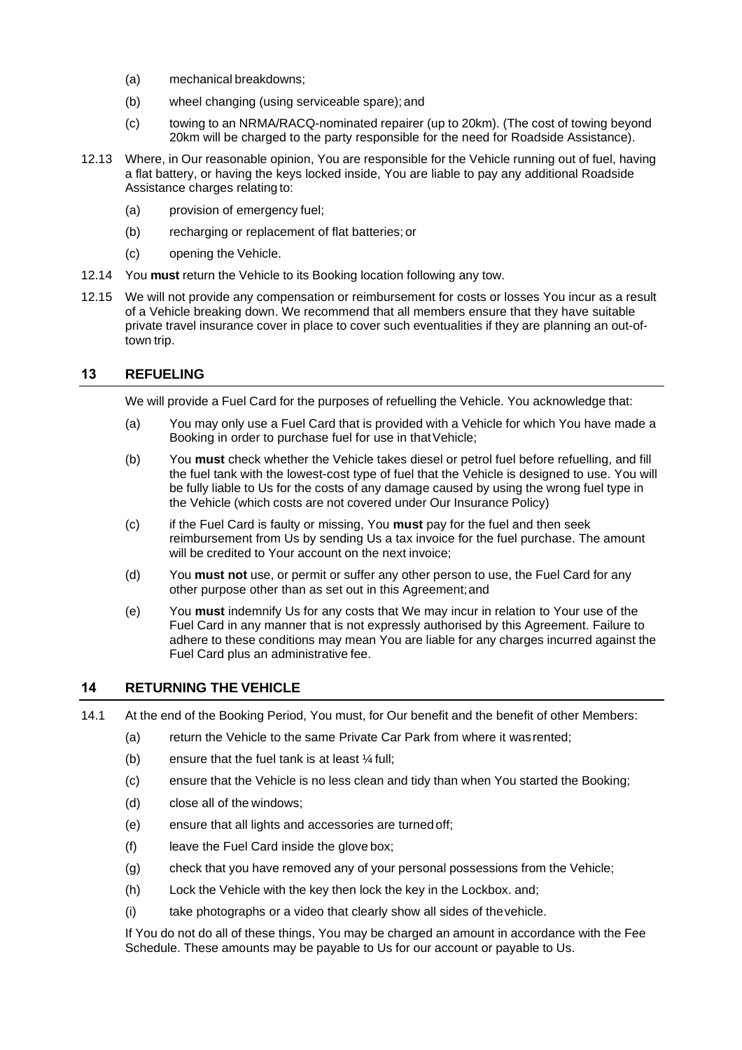- (a) mechanical breakdowns;
- (b) wheel changing (using serviceable spare); and
- (c) towing to an NRMA/RACQ-nominated repairer (up to 20km). (The cost of towing beyond 20km will be charged to the party responsible for the need for Roadside Assistance).
- 12.13 Where, in Our reasonable opinion, You are responsible for the Vehicle running out of fuel, having a flat battery, or having the keys locked inside, You are liable to pay any additional Roadside Assistance charges relating to:
	- (a) provision of emergency fuel;
	- (b) recharging or replacement of flat batteries; or
	- (c) opening the Vehicle.
- 12.14 You **must** return the Vehicle to its Booking location following any tow.
- 12.15 We will not provide any compensation or reimbursement for costs or losses You incur as a result of a Vehicle breaking down. We recommend that all members ensure that they have suitable private travel insurance cover in place to cover such eventualities if they are planning an out-oftown trip.

#### <span id="page-9-0"></span>**13 REFUELING**

We will provide a Fuel Card for the purposes of refuelling the Vehicle. You acknowledge that:

- (a) You may only use a Fuel Card that is provided with a Vehicle for which You have made a Booking in order to purchase fuel for use in that Vehicle;
- (b) You **must** check whether the Vehicle takes diesel or petrol fuel before refuelling, and fill the fuel tank with the lowest-cost type of fuel that the Vehicle is designed to use. You will be fully liable to Us for the costs of any damage caused by using the wrong fuel type in the Vehicle (which costs are not covered under Our Insurance Policy)
- (c) if the Fuel Card is faulty or missing, You **must** pay for the fuel and then seek reimbursement from Us by sending Us a tax invoice for the fuel purchase. The amount will be credited to Your account on the next invoice;
- (d) You **must not** use, or permit or suffer any other person to use, the Fuel Card for any other purpose other than as set out in this Agreement;and
- (e) You **must** indemnify Us for any costs that We may incur in relation to Your use of the Fuel Card in any manner that is not expressly authorised by this Agreement. Failure to adhere to these conditions may mean You are liable for any charges incurred against the Fuel Card plus an administrative fee.

#### <span id="page-9-1"></span>**14 RETURNING THE VEHICLE**

- 14.1 At the end of the Booking Period, You must, for Our benefit and the benefit of other Members:
	- (a) return the Vehicle to the same Private Car Park from where it wasrented;
	- (b) ensure that the fuel tank is at least  $\frac{1}{4}$  full;
	- (c) ensure that the Vehicle is no less clean and tidy than when You started the Booking;
	- (d) close all of the windows;
	- (e) ensure that all lights and accessories are turned off;
	- (f) leave the Fuel Card inside the glove box;
	- (g) check that you have removed any of your personal possessions from the Vehicle;
	- (h) Lock the Vehicle with the key then lock the key in the Lockbox. and;
	- (i) take photographs or a video that clearly show all sides of thevehicle.

If You do not do all of these things, You may be charged an amount in accordance with the Fee Schedule. These amounts may be payable to Us for our account or payable to Us.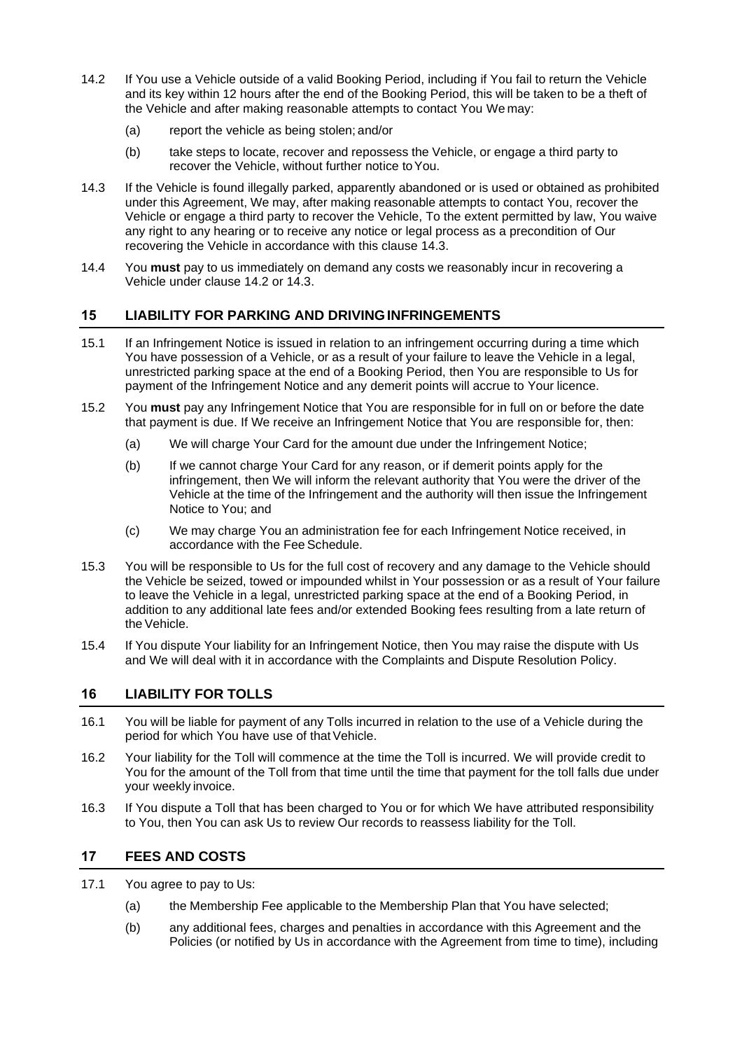- <span id="page-10-4"></span>14.2 If You use a Vehicle outside of a valid Booking Period, including if You fail to return the Vehicle and its key within 12 hours after the end of the Booking Period, this will be taken to be a theft of the Vehicle and after making reasonable attempts to contact You We may:
	- (a) report the vehicle as being stolen; and/or
	- (b) take steps to locate, recover and repossess the Vehicle, or engage a third party to recover the Vehicle, without further notice to You.
- <span id="page-10-3"></span>14.3 If the Vehicle is found illegally parked, apparently abandoned or is used or obtained as prohibited under this Agreement, We may, after making reasonable attempts to contact You, recover the Vehicle or engage a third party to recover the Vehicle, To the extent permitted by law, You waive any right to any hearing or to receive any notice or legal process as a precondition of Our recovering the Vehicle in accordance with this clause [14.3.](#page-10-3)
- 14.4 You **must** pay to us immediately on demand any costs we reasonably incur in recovering a Vehicle under clause [14.2](#page-10-4) or [14.3.](#page-10-3)

#### <span id="page-10-0"></span>**15 LIABILITY FOR PARKING AND DRIVINGINFRINGEMENTS**

- 15.1 If an Infringement Notice is issued in relation to an infringement occurring during a time which You have possession of a Vehicle, or as a result of your failure to leave the Vehicle in a legal, unrestricted parking space at the end of a Booking Period, then You are responsible to Us for payment of the Infringement Notice and any demerit points will accrue to Your licence.
- 15.2 You **must** pay any Infringement Notice that You are responsible for in full on or before the date that payment is due. If We receive an Infringement Notice that You are responsible for, then:
	- (a) We will charge Your Card for the amount due under the Infringement Notice;
	- (b) If we cannot charge Your Card for any reason, or if demerit points apply for the infringement, then We will inform the relevant authority that You were the driver of the Vehicle at the time of the Infringement and the authority will then issue the Infringement Notice to You; and
	- (c) We may charge You an administration fee for each Infringement Notice received, in accordance with the Fee Schedule.
- 15.3 You will be responsible to Us for the full cost of recovery and any damage to the Vehicle should the Vehicle be seized, towed or impounded whilst in Your possession or as a result of Your failure to leave the Vehicle in a legal, unrestricted parking space at the end of a Booking Period, in addition to any additional late fees and/or extended Booking fees resulting from a late return of theVehicle.
- 15.4 If You dispute Your liability for an Infringement Notice, then You may raise the dispute with Us and We will deal with it in accordance with the Complaints and Dispute Resolution Policy.

# <span id="page-10-1"></span>**16 LIABILITY FOR TOLLS**

- 16.1 You will be liable for payment of any Tolls incurred in relation to the use of a Vehicle during the period for which You have use of that Vehicle.
- 16.2 Your liability for the Toll will commence at the time the Toll is incurred. We will provide credit to You for the amount of the Toll from that time until the time that payment for the toll falls due under your weekly invoice.
- 16.3 If You dispute a Toll that has been charged to You or for which We have attributed responsibility to You, then You can ask Us to review Our records to reassess liability for the Toll.

#### <span id="page-10-2"></span>**17 FEES AND COSTS**

- 17.1 You agree to pay to Us:
	- (a) the Membership Fee applicable to the Membership Plan that You have selected;
	- (b) any additional fees, charges and penalties in accordance with this Agreement and the Policies (or notified by Us in accordance with the Agreement from time to time), including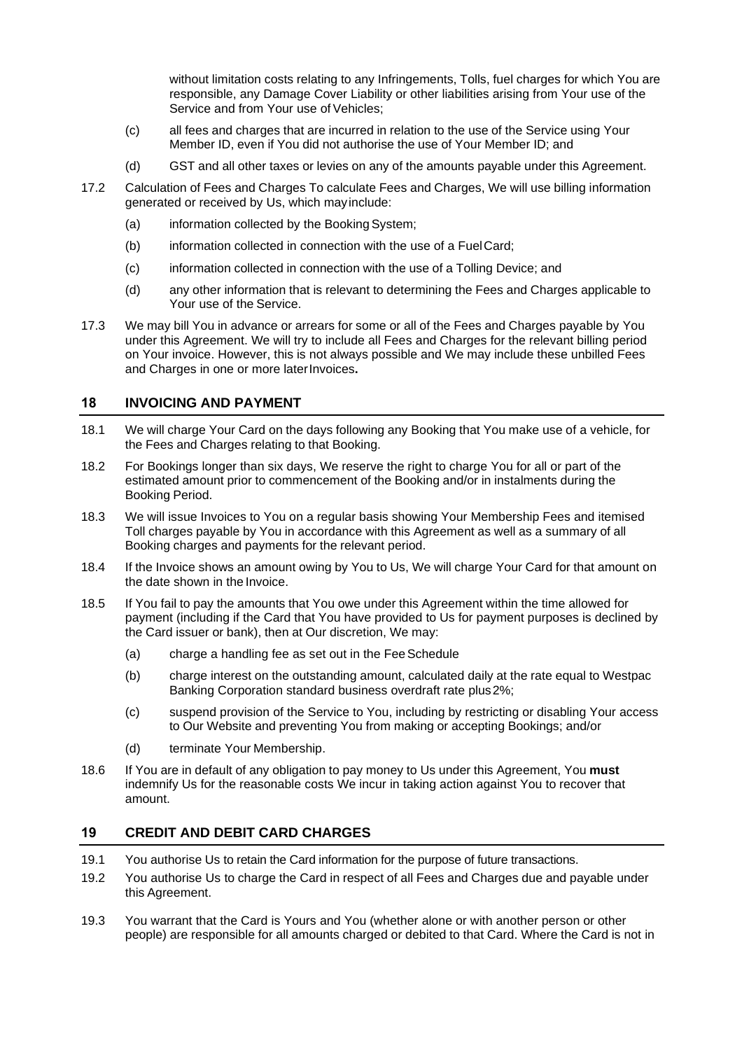without limitation costs relating to any Infringements, Tolls, fuel charges for which You are responsible, any Damage Cover Liability or other liabilities arising from Your use of the Service and from Your use of Vehicles;

- (c) all fees and charges that are incurred in relation to the use of the Service using Your Member ID, even if You did not authorise the use of Your Member ID; and
- (d) GST and all other taxes or levies on any of the amounts payable under this Agreement.
- 17.2 Calculation of Fees and Charges To calculate Fees and Charges, We will use billing information generated or received by Us, which mayinclude:
	- (a) information collected by the Booking System;
	- (b) information collected in connection with the use of a FuelCard;
	- (c) information collected in connection with the use of a Tolling Device; and
	- (d) any other information that is relevant to determining the Fees and Charges applicable to Your use of the Service.
- 17.3 We may bill You in advance or arrears for some or all of the Fees and Charges payable by You under this Agreement. We will try to include all Fees and Charges for the relevant billing period on Your invoice. However, this is not always possible and We may include these unbilled Fees and Charges in one or more laterInvoices**.**

#### <span id="page-11-0"></span>**18 INVOICING AND PAYMENT**

- 18.1 We will charge Your Card on the days following any Booking that You make use of a vehicle, for the Fees and Charges relating to that Booking.
- <span id="page-11-2"></span>18.2 For Bookings longer than six days, We reserve the right to charge You for all or part of the estimated amount prior to commencement of the Booking and/or in instalments during the Booking Period.
- 18.3 We will issue Invoices to You on a regular basis showing Your Membership Fees and itemised Toll charges payable by You in accordance with this Agreement as well as a summary of all Booking charges and payments for the relevant period.
- 18.4 If the Invoice shows an amount owing by You to Us, We will charge Your Card for that amount on the date shown in the Invoice.
- 18.5 If You fail to pay the amounts that You owe under this Agreement within the time allowed for payment (including if the Card that You have provided to Us for payment purposes is declined by the Card issuer or bank), then at Our discretion, We may:
	- (a) charge a handling fee as set out in the FeeSchedule
	- (b) charge interest on the outstanding amount, calculated daily at the rate equal to Westpac Banking Corporation standard business overdraft rate plus2%;
	- (c) suspend provision of the Service to You, including by restricting or disabling Your access to Our Website and preventing You from making or accepting Bookings; and/or
	- (d) terminate Your Membership.
- 18.6 If You are in default of any obligation to pay money to Us under this Agreement, You **must**  indemnify Us for the reasonable costs We incur in taking action against You to recover that amount.

#### <span id="page-11-1"></span>**19 CREDIT AND DEBIT CARD CHARGES**

- 19.1 You authorise Us to retain the Card information for the purpose of future transactions.
- 19.2 You authorise Us to charge the Card in respect of all Fees and Charges due and payable under this Agreement.
- 19.3 You warrant that the Card is Yours and You (whether alone or with another person or other people) are responsible for all amounts charged or debited to that Card. Where the Card is not in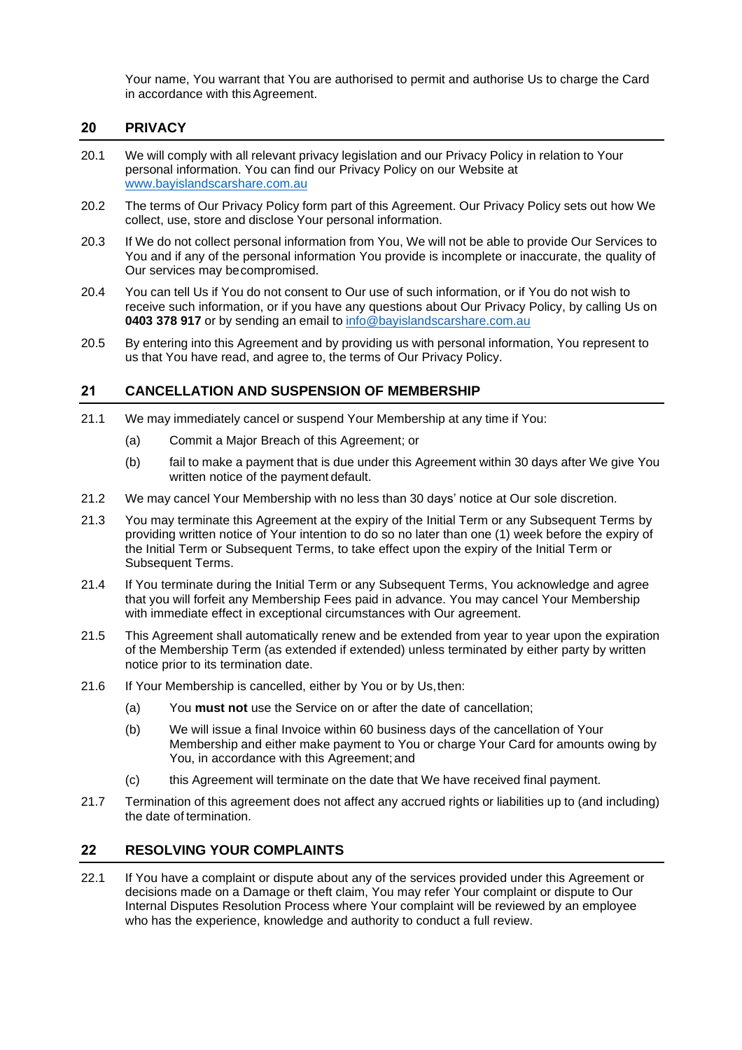Your name, You warrant that You are authorised to permit and authorise Us to charge the Card in accordance with this Agreement.

#### <span id="page-12-0"></span>**20 PRIVACY**

- 20.1 We will comply with all relevant privacy legislation and our Privacy Policy in relation to Your personal information. You can find our Privacy Policy on our Website at [www.bayislandscarshare.com.au](http://www.bayislandscarshare.com.au/)
- 20.2 The terms of Our Privacy Policy form part of this Agreement. Our Privacy Policy sets out how We collect, use, store and disclose Your personal information.
- 20.3 If We do not collect personal information from You, We will not be able to provide Our Services to You and if any of the personal information You provide is incomplete or inaccurate, the quality of Our services may becompromised.
- 20.4 You can tell Us if You do not consent to Our use of such information, or if You do not wish to receive such information, or if you have any questions about Our Privacy Policy, by calling Us on **0403 378 917** or by sending an email to [info@bayislandscarshare.com.au](mailto:info@bayislandscarshare.com.au)
- 20.5 By entering into this Agreement and by providing us with personal information, You represent to us that You have read, and agree to, the terms of Our Privacy Policy.

#### <span id="page-12-1"></span>**21 CANCELLATION AND SUSPENSION OF MEMBERSHIP**

- 21.1 We may immediately cancel or suspend Your Membership at any time if You:
	- (a) Commit a Major Breach of this Agreement; or
	- (b) fail to make a payment that is due under this Agreement within 30 days after We give You written notice of the payment default.
- 21.2 We may cancel Your Membership with no less than 30 days' notice at Our sole discretion.
- 21.3 You may terminate this Agreement at the expiry of the Initial Term or any Subsequent Terms by providing written notice of Your intention to do so no later than one (1) week before the expiry of the Initial Term or Subsequent Terms, to take effect upon the expiry of the Initial Term or Subsequent Terms.
- 21.4 If You terminate during the Initial Term or any Subsequent Terms, You acknowledge and agree that you will forfeit any Membership Fees paid in advance. You may cancel Your Membership with immediate effect in exceptional circumstances with Our agreement.
- 21.5 This Agreement shall automatically renew and be extended from year to year upon the expiration of the Membership Term (as extended if extended) unless terminated by either party by written notice prior to its termination date.
- 21.6 If Your Membership is cancelled, either by You or by Us,then:
	- (a) You **must not** use the Service on or after the date of cancellation;
	- (b) We will issue a final Invoice within 60 business days of the cancellation of Your Membership and either make payment to You or charge Your Card for amounts owing by You, in accordance with this Agreement;and
	- (c) this Agreement will terminate on the date that We have received final payment.
- 21.7 Termination of this agreement does not affect any accrued rights or liabilities up to (and including) the date of termination.

#### <span id="page-12-2"></span>**22 RESOLVING YOUR COMPLAINTS**

22.1 If You have a complaint or dispute about any of the services provided under this Agreement or decisions made on a Damage or theft claim, You may refer Your complaint or dispute to Our Internal Disputes Resolution Process where Your complaint will be reviewed by an employee who has the experience, knowledge and authority to conduct a full review.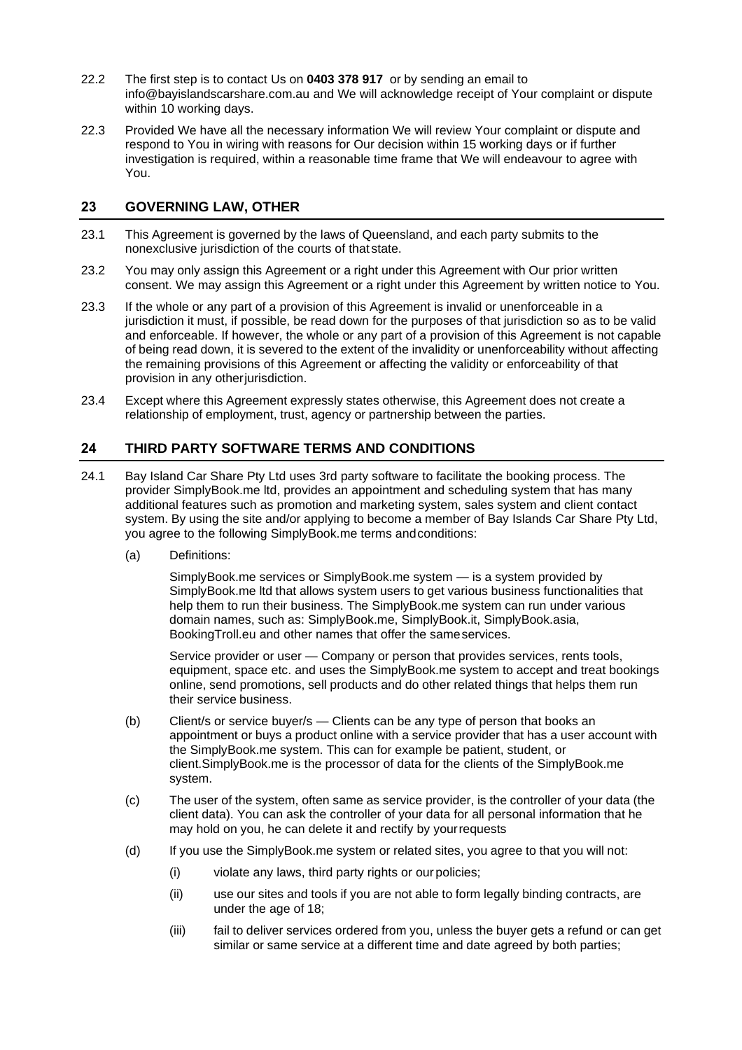- 22.2 The first step is to contact Us on **0403 378 917** or by sending an email to info@bayislandscarshare.com.au and We will acknowledge receipt of Your complaint or dispute within 10 working days.
- 22.3 Provided We have all the necessary information We will review Your complaint or dispute and respond to You in wiring with reasons for Our decision within 15 working days or if further investigation is required, within a reasonable time frame that We will endeavour to agree with You.

#### <span id="page-13-0"></span>**23 GOVERNING LAW, OTHER**

- 23.1 This Agreement is governed by the laws of Queensland, and each party submits to the nonexclusive jurisdiction of the courts of that state.
- 23.2 You may only assign this Agreement or a right under this Agreement with Our prior written consent. We may assign this Agreement or a right under this Agreement by written notice to You.
- 23.3 If the whole or any part of a provision of this Agreement is invalid or unenforceable in a jurisdiction it must, if possible, be read down for the purposes of that jurisdiction so as to be valid and enforceable. If however, the whole or any part of a provision of this Agreement is not capable of being read down, it is severed to the extent of the invalidity or unenforceability without affecting the remaining provisions of this Agreement or affecting the validity or enforceability of that provision in any otherjurisdiction.
- 23.4 Except where this Agreement expressly states otherwise, this Agreement does not create a relationship of employment, trust, agency or partnership between the parties.

#### <span id="page-13-1"></span>**24 THIRD PARTY SOFTWARE TERMS AND CONDITIONS**

- 24.1 Bay Island Car Share Pty Ltd uses 3rd party software to facilitate the booking process. The provider SimplyBook.me ltd, provides an appointment and scheduling system that has many additional features such as promotion and marketing system, sales system and client contact system. By using the site and/or applying to become a member of Bay Islands Car Share Pty Ltd, you agree to the following SimplyBook.me terms andconditions:
	- (a) Definitions:

SimplyBook.me services or SimplyBook.me system — is a system provided by SimplyBook.me ltd that allows system users to get various business functionalities that help them to run their business. The SimplyBook.me system can run under various domain names, such as: SimplyBook.me, SimplyBook.it, SimplyBook.asia, BookingTroll.eu and other names that offer the sameservices.

Service provider or user — Company or person that provides services, rents tools, equipment, space etc. and uses the SimplyBook.me system to accept and treat bookings online, send promotions, sell products and do other related things that helps them run their service business.

- (b) Client/s or service buyer/s Clients can be any type of person that books an appointment or buys a product online with a service provider that has a user account with the SimplyBook.me system. This can for example be patient, student, or client.SimplyBook.me is the processor of data for the clients of the SimplyBook.me system.
- (c) The user of the system, often same as service provider, is the controller of your data (the client data). You can ask the controller of your data for all personal information that he may hold on you, he can delete it and rectify by yourrequests
- (d) If you use the SimplyBook.me system or related sites, you agree to that you will not:
	- (i) violate any laws, third party rights or our policies;
	- (ii) use our sites and tools if you are not able to form legally binding contracts, are under the age of 18;
	- (iii) fail to deliver services ordered from you, unless the buyer gets a refund or can get similar or same service at a different time and date agreed by both parties;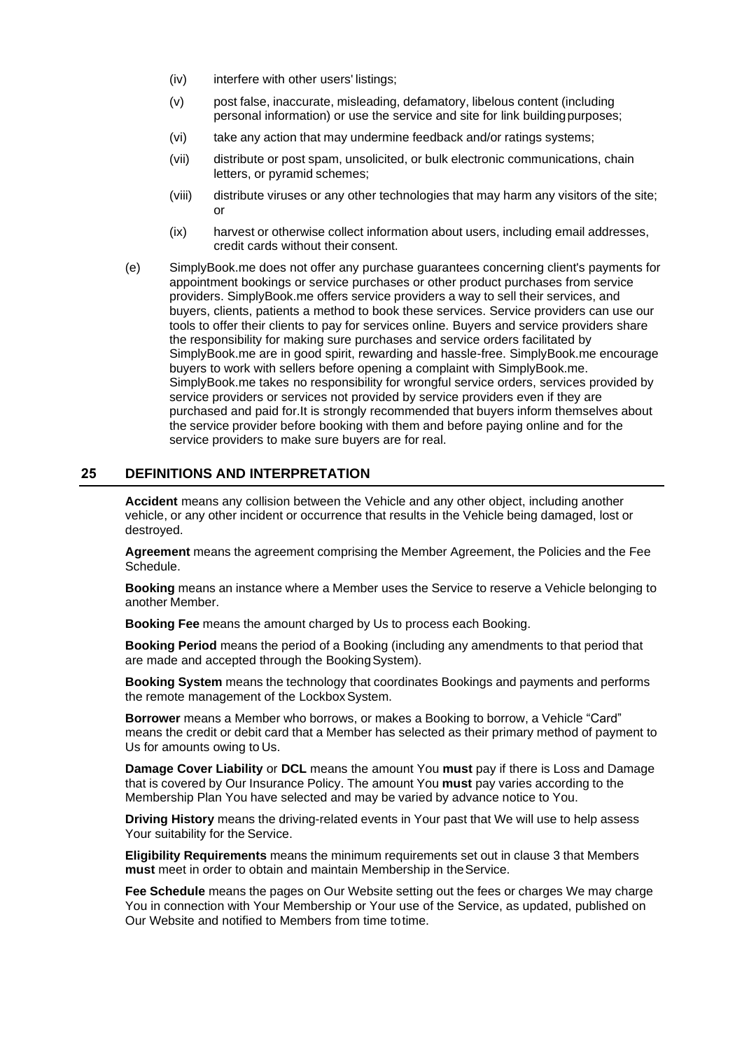- (iv) interfere with other users' listings;
- (v) post false, inaccurate, misleading, defamatory, libelous content (including personal information) or use the service and site for link buildingpurposes;
- (vi) take any action that may undermine feedback and/or ratings systems;
- (vii) distribute or post spam, unsolicited, or bulk electronic communications, chain letters, or pyramid schemes;
- (viii) distribute viruses or any other technologies that may harm any visitors of the site; or
- (ix) harvest or otherwise collect information about users, including email addresses, credit cards without their consent.
- (e) SimplyBook.me does not offer any purchase guarantees concerning client's payments for appointment bookings or service purchases or other product purchases from service providers. SimplyBook.me offers service providers a way to sell their services, and buyers, clients, patients a method to book these services. Service providers can use our tools to offer their clients to pay for services online. Buyers and service providers share the responsibility for making sure purchases and service orders facilitated by SimplyBook.me are in good spirit, rewarding and hassle-free. SimplyBook.me encourage buyers to work with sellers before opening a complaint with SimplyBook.me. SimplyBook.me takes no responsibility for wrongful service orders, services provided by service providers or services not provided by service providers even if they are purchased and paid for.It is strongly recommended that buyers inform themselves about the service provider before booking with them and before paying online and for the service providers to make sure buyers are for real.

#### <span id="page-14-0"></span>**25 DEFINITIONS AND INTERPRETATION**

**Accident** means any collision between the Vehicle and any other object, including another vehicle, or any other incident or occurrence that results in the Vehicle being damaged, lost or destroyed.

**Agreement** means the agreement comprising the Member Agreement, the Policies and the Fee Schedule.

**Booking** means an instance where a Member uses the Service to reserve a Vehicle belonging to another Member.

**Booking Fee** means the amount charged by Us to process each Booking.

**Booking Period** means the period of a Booking (including any amendments to that period that are made and accepted through the BookingSystem).

**Booking System** means the technology that coordinates Bookings and payments and performs the remote management of the Lockbox System.

**Borrower** means a Member who borrows, or makes a Booking to borrow, a Vehicle "Card" means the credit or debit card that a Member has selected as their primary method of payment to Us for amounts owing to Us.

**Damage Cover Liability** or **DCL** means the amount You **must** pay if there is Loss and Damage that is covered by Our Insurance Policy. The amount You **must** pay varies according to the Membership Plan You have selected and may be varied by advance notice to You.

**Driving History** means the driving-related events in Your past that We will use to help assess Your suitability for the Service.

**Eligibility Requirements** means the minimum requirements set out in clause 3 that Members **must** meet in order to obtain and maintain Membership in theService.

**Fee Schedule** means the pages on Our Website setting out the fees or charges We may charge You in connection with Your Membership or Your use of the Service, as updated, published on Our Website and notified to Members from time totime.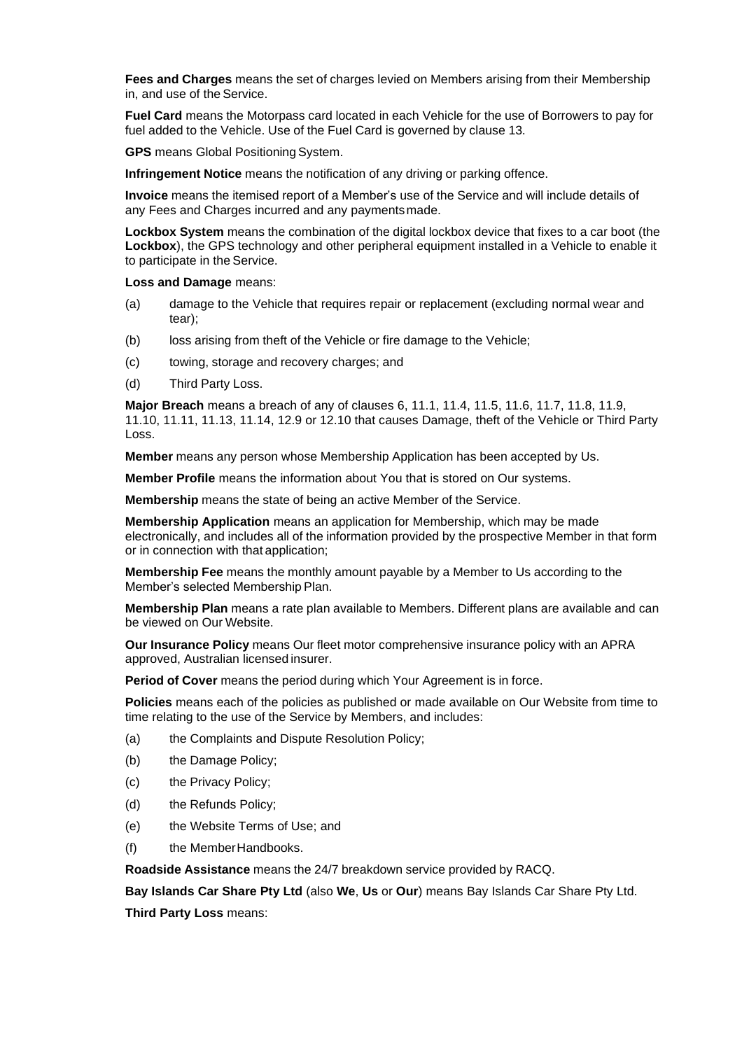**Fees and Charges** means the set of charges levied on Members arising from their Membership in, and use of the Service.

**Fuel Card** means the Motorpass card located in each Vehicle for the use of Borrowers to pay for fuel added to the Vehicle. Use of the Fuel Card is governed by clause [13.](#page-9-0)

**GPS** means Global Positioning System.

**Infringement Notice** means the notification of any driving or parking offence.

**Invoice** means the itemised report of a Member's use of the Service and will include details of any Fees and Charges incurred and any paymentsmade.

**Lockbox System** means the combination of the digital lockbox device that fixes to a car boot (the **Lockbox**), the GPS technology and other peripheral equipment installed in a Vehicle to enable it to participate in the Service.

**Loss and Damage** means:

- (a) damage to the Vehicle that requires repair or replacement (excluding normal wear and tear);
- (b) loss arising from theft of the Vehicle or fire damage to the Vehicle;
- (c) towing, storage and recovery charges; and
- (d) Third Party Loss.

**Major Breach** means a breach of any of clauses [6,](#page-3-0) [11.1,](#page-5-2) [11.4,](#page-6-0) [11.5,](#page-6-1) [11.6,](#page-6-2) [11.7,](#page-6-3) [11.8,](#page-6-4) [11.9,](#page-7-0) [11.10,](#page-7-1) [11.11,](#page-7-2) [11.13,](#page-7-3) [11.14,](#page-7-4) [12.9](#page-8-1) or [12.10](#page-8-2) that causes Damage, theft of the Vehicle or Third Party Loss.

**Member** means any person whose Membership Application has been accepted by Us.

**Member Profile** means the information about You that is stored on Our systems.

**Membership** means the state of being an active Member of the Service.

**Membership Application** means an application for Membership, which may be made electronically, and includes all of the information provided by the prospective Member in that form or in connection with that application;

**Membership Fee** means the monthly amount payable by a Member to Us according to the Member's selected Membership Plan.

**Membership Plan** means a rate plan available to Members. Different plans are available and can be viewed on Our Website.

**Our Insurance Policy** means Our fleet motor comprehensive insurance policy with an APRA approved, Australian licensed insurer.

**Period of Cover** means the period during which Your Agreement is in force.

**Policies** means each of the policies as published or made available on Our Website from time to time relating to the use of the Service by Members, and includes:

- (a) the Complaints and Dispute Resolution Policy;
- (b) the Damage Policy;
- (c) the Privacy Policy;
- (d) the Refunds Policy;
- (e) the Website Terms of Use; and
- (f) the MemberHandbooks.

**Roadside Assistance** means the 24/7 breakdown service provided by RACQ.

**Bay Islands Car Share Pty Ltd** (also **We**, **Us** or **Our**) means Bay Islands Car Share Pty Ltd.

**Third Party Loss** means: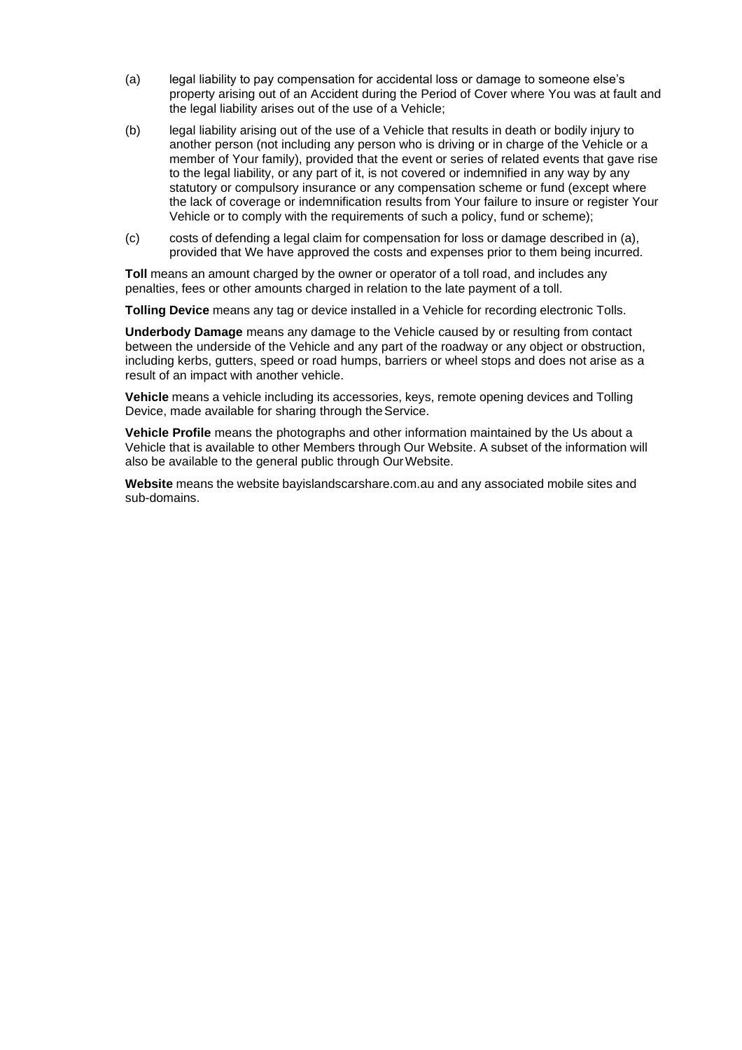- <span id="page-16-0"></span>(a) legal liability to pay compensation for accidental loss or damage to someone else's property arising out of an Accident during the Period of Cover where You was at fault and the legal liability arises out of the use of a Vehicle;
- (b) legal liability arising out of the use of a Vehicle that results in death or bodily injury to another person (not including any person who is driving or in charge of the Vehicle or a member of Your family), provided that the event or series of related events that gave rise to the legal liability, or any part of it, is not covered or indemnified in any way by any statutory or compulsory insurance or any compensation scheme or fund (except where the lack of coverage or indemnification results from Your failure to insure or register Your Vehicle or to comply with the requirements of such a policy, fund or scheme);
- (c) costs of defending a legal claim for compensation for loss or damage described in [\(a\),](#page-16-0) provided that We have approved the costs and expenses prior to them being incurred.

**Toll** means an amount charged by the owner or operator of a toll road, and includes any penalties, fees or other amounts charged in relation to the late payment of a toll.

**Tolling Device** means any tag or device installed in a Vehicle for recording electronic Tolls.

**Underbody Damage** means any damage to the Vehicle caused by or resulting from contact between the underside of the Vehicle and any part of the roadway or any object or obstruction, including kerbs, gutters, speed or road humps, barriers or wheel stops and does not arise as a result of an impact with another vehicle.

**Vehicle** means a vehicle including its accessories, keys, remote opening devices and Tolling Device, made available for sharing through the Service.

**Vehicle Profile** means the photographs and other information maintained by the Us about a Vehicle that is available to other Members through Our Website. A subset of the information will also be available to the general public through Our Website.

**Website** means the website bayislandscarshare.com.au and any associated mobile sites and sub-domains.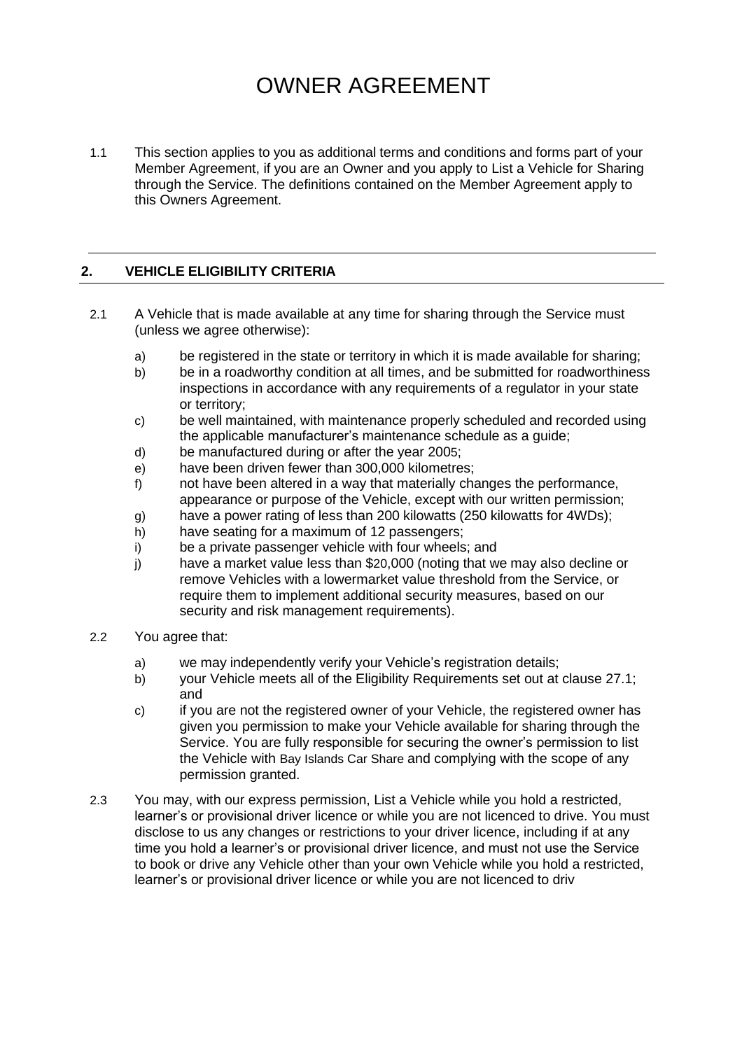# OWNER AGREEMENT

1.1 This section applies to you as additional terms and conditions and forms part of your Member Agreement, if you are an Owner and you apply to List a Vehicle for Sharing through the Service. The definitions contained on the Member Agreement apply to this Owners Agreement.

#### **2. VEHICLE ELIGIBILITY CRITERIA**

- 2.1 A Vehicle that is made available at any time for sharing through the Service must (unless we agree otherwise):
	- a) be registered in the state or territory in which it is made available for sharing;
	- b) be in a roadworthy condition at all times, and be submitted for roadworthiness inspections in accordance with any requirements of a regulator in your state or territory;
	- c) be well maintained, with maintenance properly scheduled and recorded using the applicable manufacturer's maintenance schedule as a guide;
	- d) be manufactured during or after the year 2005;
	- e) have been driven fewer than 300,000 kilometres;
	- f) not have been altered in a way that materially changes the performance, appearance or purpose of the Vehicle, except with our written permission;
	- g) have a power rating of less than 200 kilowatts (250 kilowatts for 4WDs);
	- h) have seating for a maximum of 12 passengers;
	- i) be a private passenger vehicle with four wheels; and
	- j) have a market value less than \$20,000 (noting that we may also decline or remove Vehicles with a lowermarket value threshold from the Service, or require them to implement additional security measures, based on our security and risk management requirements).
- 2.2 You agree that:
	- a) we may independently verify your Vehicle's registration details;
	- b) your Vehicle meets all of the Eligibility Requirements set out at clause 27.1; and
	- c) if you are not the registered owner of your Vehicle, the registered owner has given you permission to make your Vehicle available for sharing through the Service. You are fully responsible for securing the owner's permission to list the Vehicle with Bay Islands Car Share and complying with the scope of any permission granted.
- 2.3 You may, with our express permission, List a Vehicle while you hold a restricted, learner's or provisional driver licence or while you are not licenced to drive. You must disclose to us any changes or restrictions to your driver licence, including if at any time you hold a learner's or provisional driver licence, and must not use the Service to book or drive any Vehicle other than your own Vehicle while you hold a restricted, learner's or provisional driver licence or while you are not licenced to driv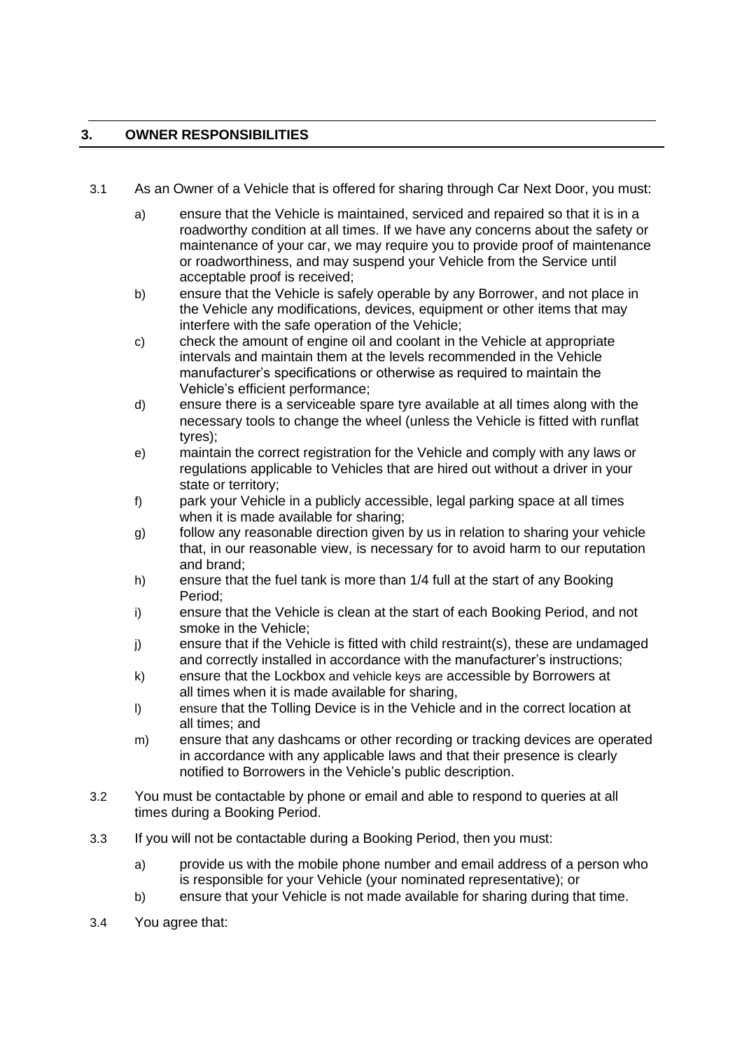# **3. OWNER RESPONSIBILITIES**

- 3.1 As an Owner of a Vehicle that is offered for sharing through Car Next Door, you must:
	- a) ensure that the Vehicle is maintained, serviced and repaired so that it is in a roadworthy condition at all times. If we have any concerns about the safety or maintenance of your car, we may require you to provide proof of maintenance or roadworthiness, and may suspend your Vehicle from the Service until acceptable proof is received;
	- b) ensure that the Vehicle is safely operable by any Borrower, and not place in the Vehicle any modifications, devices, equipment or other items that may interfere with the safe operation of the Vehicle;
	- c) check the amount of engine oil and coolant in the Vehicle at appropriate intervals and maintain them at the levels recommended in the Vehicle manufacturer's specifications or otherwise as required to maintain the Vehicle's efficient performance;
	- d) ensure there is a serviceable spare tyre available at all times along with the necessary tools to change the wheel (unless the Vehicle is fitted with runflat tyres);
	- e) maintain the correct registration for the Vehicle and comply with any laws or regulations applicable to Vehicles that are hired out without a driver in your state or territory;
	- f) park your Vehicle in a publicly accessible, legal parking space at all times when it is made available for sharing;
	- g) follow any reasonable direction given by us in relation to sharing your vehicle that, in our reasonable view, is necessary for to avoid harm to our reputation and brand;
	- h) ensure that the fuel tank is more than 1/4 full at the start of any Booking Period;
	- i) ensure that the Vehicle is clean at the start of each Booking Period, and not smoke in the Vehicle;
	- j) ensure that if the Vehicle is fitted with child restraint(s), these are undamaged and correctly installed in accordance with the manufacturer's instructions;
	- k) ensure that the Lockbox and vehicle keys are accessible by Borrowers at all times when it is made available for sharing,
	- l) ensure that the Tolling Device is in the Vehicle and in the correct location at all times; and
	- m) ensure that any dashcams or other recording or tracking devices are operated in accordance with any applicable laws and that their presence is clearly notified to Borrowers in the Vehicle's public description.
- 3.2 You must be contactable by phone or email and able to respond to queries at all times during a Booking Period.
- 3.3 If you will not be contactable during a Booking Period, then you must:
	- a) provide us with the mobile phone number and email address of a person who is responsible for your Vehicle (your nominated representative); or
	- b) ensure that your Vehicle is not made available for sharing during that time.
- 3.4 You agree that: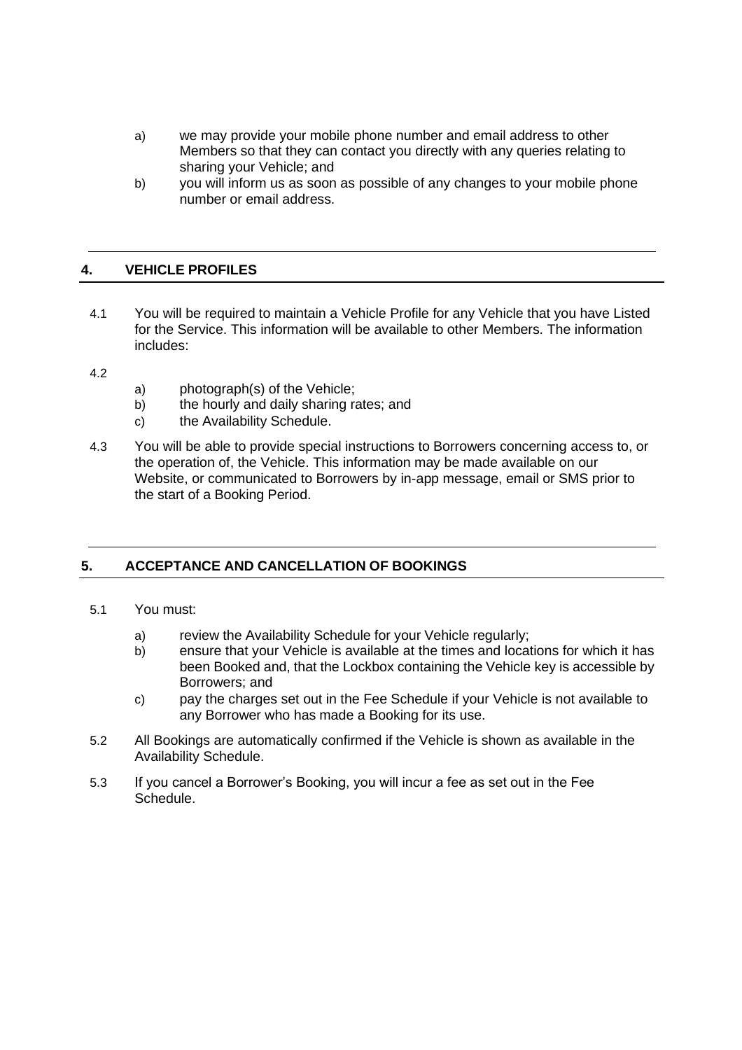- a) we may provide your mobile phone number and email address to other Members so that they can contact you directly with any queries relating to sharing your Vehicle; and
- b) you will inform us as soon as possible of any changes to your mobile phone number or email address.

#### **4. VEHICLE PROFILES**

- 4.1 You will be required to maintain a Vehicle Profile for any Vehicle that you have Listed for the Service. This information will be available to other Members. The information includes:
- 4.2
- a) photograph(s) of the Vehicle;
- b) the hourly and daily sharing rates; and
- c) the Availability Schedule.
- 4.3 You will be able to provide special instructions to Borrowers concerning access to, or the operation of, the Vehicle. This information may be made available on our Website, or communicated to Borrowers by in-app message, email or SMS prior to the start of a Booking Period.

# **5. ACCEPTANCE AND CANCELLATION OF BOOKINGS**

- 5.1 You must:
	- a) review the Availability Schedule for your Vehicle regularly;
	- b) ensure that your Vehicle is available at the times and locations for which it has been Booked and, that the Lockbox containing the Vehicle key is accessible by Borrowers; and
	- c) pay the charges set out in the Fee Schedule if your Vehicle is not available to any Borrower who has made a Booking for its use.
- 5.2 All Bookings are automatically confirmed if the Vehicle is shown as available in the Availability Schedule.
- 5.3 If you cancel a Borrower's Booking, you will incur a fee as set out in the Fee Schedule.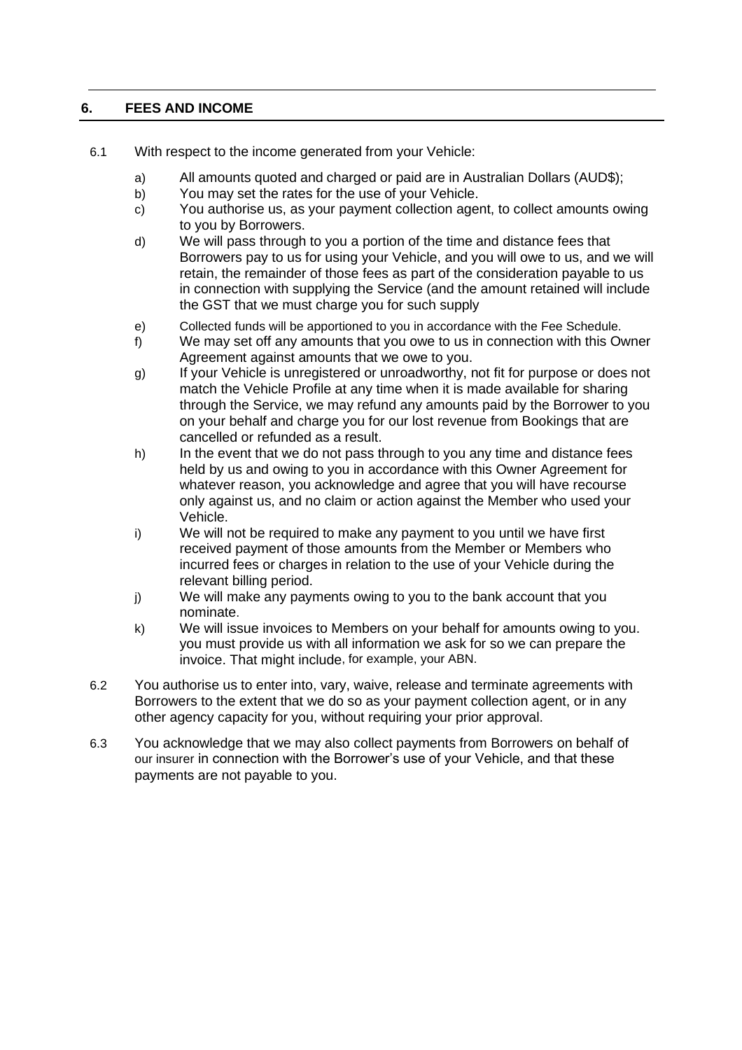# **6. FEES AND INCOME**

- 6.1 With respect to the income generated from your Vehicle:
	- a) All amounts quoted and charged or paid are in Australian Dollars (AUD\$);
	- b) You may set the rates for the use of your Vehicle.
	- c) You authorise us, as your payment collection agent, to collect amounts owing to you by Borrowers.
	- d) We will pass through to you a portion of the time and distance fees that Borrowers pay to us for using your Vehicle, and you will owe to us, and we will retain, the remainder of those fees as part of the consideration payable to us in connection with supplying the Service (and the amount retained will include the GST that we must charge you for such supply
	- e) Collected funds will be apportioned to you in accordance with the Fee Schedule.
	- f) We may set off any amounts that you owe to us in connection with this Owner Agreement against amounts that we owe to you.
	- g) If your Vehicle is unregistered or unroadworthy, not fit for purpose or does not match the Vehicle Profile at any time when it is made available for sharing through the Service, we may refund any amounts paid by the Borrower to you on your behalf and charge you for our lost revenue from Bookings that are cancelled or refunded as a result.
	- h) In the event that we do not pass through to you any time and distance fees held by us and owing to you in accordance with this Owner Agreement for whatever reason, you acknowledge and agree that you will have recourse only against us, and no claim or action against the Member who used your Vehicle.
	- i) We will not be required to make any payment to you until we have first received payment of those amounts from the Member or Members who incurred fees or charges in relation to the use of your Vehicle during the relevant billing period.
	- j) We will make any payments owing to you to the bank account that you nominate.
	- k) We will issue invoices to Members on your behalf for amounts owing to you. you must provide us with all information we ask for so we can prepare the invoice. That might include, for example, your ABN.
- 6.2 You authorise us to enter into, vary, waive, release and terminate agreements with Borrowers to the extent that we do so as your payment collection agent, or in any other agency capacity for you, without requiring your prior approval.
- 6.3 You acknowledge that we may also collect payments from Borrowers on behalf of our insurer in connection with the Borrower's use of your Vehicle, and that these payments are not payable to you.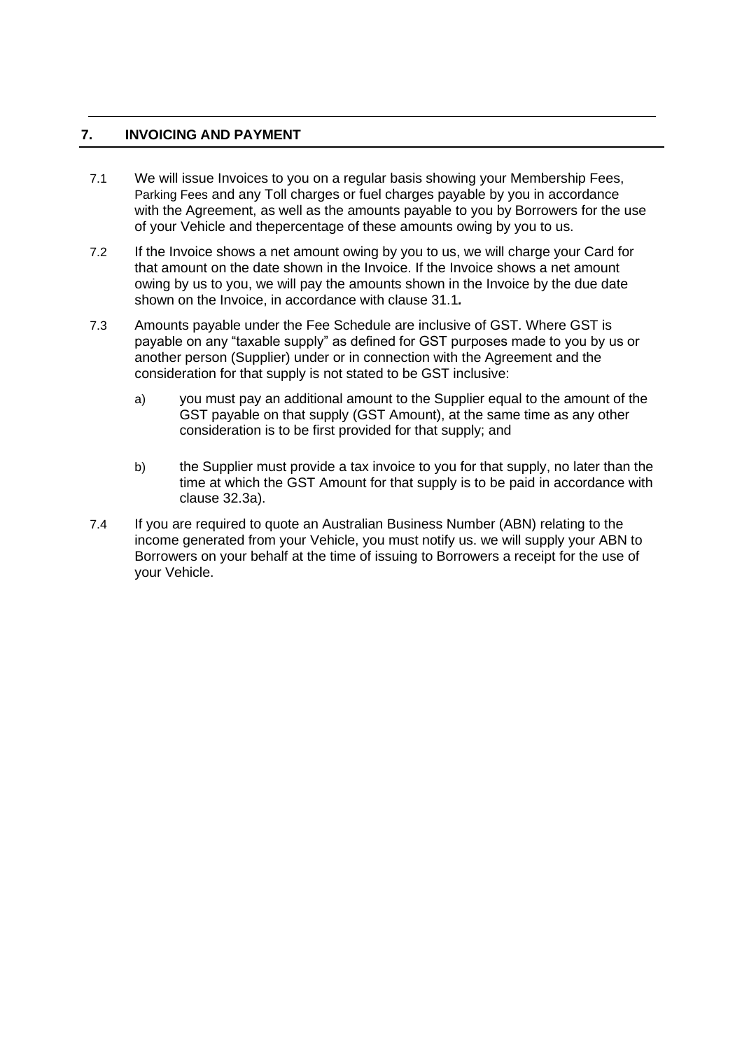#### **7. INVOICING AND PAYMENT**

- 7.1 We will issue Invoices to you on a regular basis showing your Membership Fees, Parking Fees and any Toll charges or fuel charges payable by you in accordance with the Agreement, as well as the amounts payable to you by Borrowers for the use of your Vehicle and thepercentage of these amounts owing by you to us.
- 7.2 If the Invoice shows a net amount owing by you to us, we will charge your Card for that amount on the date shown in the Invoice. If the Invoice shows a net amount owing by us to you, we will pay the amounts shown in the Invoice by the due date shown on the Invoice, in accordance with clause 31.1*.*
- 7.3 Amounts payable under the Fee Schedule are inclusive of GST. Where GST is payable on any "taxable supply" as defined for GST purposes made to you by us or another person (Supplier) under or in connection with the Agreement and the consideration for that supply is not stated to be GST inclusive:
	- a) you must pay an additional amount to the Supplier equal to the amount of the GST payable on that supply (GST Amount), at the same time as any other consideration is to be first provided for that supply; and
	- b) the Supplier must provide a tax invoice to you for that supply, no later than the time at which the GST Amount for that supply is to be paid in accordance with clause 32.3a).
- 7.4 If you are required to quote an Australian Business Number (ABN) relating to the income generated from your Vehicle, you must notify us. we will supply your ABN to Borrowers on your behalf at the time of issuing to Borrowers a receipt for the use of your Vehicle.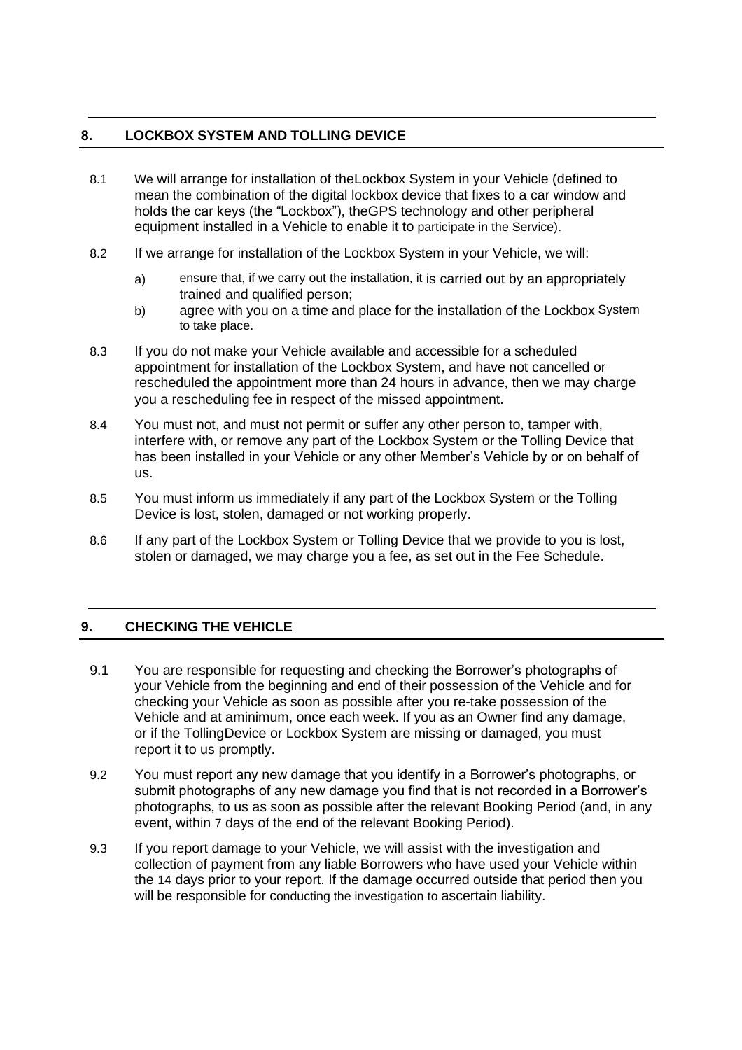### **8. LOCKBOX SYSTEM AND TOLLING DEVICE**

- 8.1 We will arrange for installation of theLockbox System in your Vehicle (defined to mean the combination of the digital lockbox device that fixes to a car window and holds the car keys (the "Lockbox"), theGPS technology and other peripheral equipment installed in a Vehicle to enable it to participate in the Service).
- 8.2 If we arrange for installation of the Lockbox System in your Vehicle, we will:
	- a) ensure that, if we carry out the installation, it is carried out by an appropriately trained and qualified person;
	- b) agree with you on a time and place for the installation of the Lockbox System to take place.
- 8.3 If you do not make your Vehicle available and accessible for a scheduled appointment for installation of the Lockbox System, and have not cancelled or rescheduled the appointment more than 24 hours in advance, then we may charge you a rescheduling fee in respect of the missed appointment.
- 8.4 You must not, and must not permit or suffer any other person to, tamper with, interfere with, or remove any part of the Lockbox System or the Tolling Device that has been installed in your Vehicle or any other Member's Vehicle by or on behalf of us.
- 8.5 You must inform us immediately if any part of the Lockbox System or the Tolling Device is lost, stolen, damaged or not working properly.
- 8.6 If any part of the Lockbox System or Tolling Device that we provide to you is lost, stolen or damaged, we may charge you a fee, as set out in the Fee Schedule.

# **9. CHECKING THE VEHICLE**

- 9.1 You are responsible for requesting and checking the Borrower's photographs of your Vehicle from the beginning and end of their possession of the Vehicle and for checking your Vehicle as soon as possible after you re-take possession of the Vehicle and at aminimum, once each week. If you as an Owner find any damage, or if the TollingDevice or Lockbox System are missing or damaged, you must report it to us promptly.
- 9.2 You must report any new damage that you identify in a Borrower's photographs, or submit photographs of any new damage you find that is not recorded in a Borrower's photographs, to us as soon as possible after the relevant Booking Period (and, in any event, within 7 days of the end of the relevant Booking Period).
- 9.3 If you report damage to your Vehicle, we will assist with the investigation and collection of payment from any liable Borrowers who have used your Vehicle within the 14 days prior to your report. If the damage occurred outside that period then you will be responsible for conducting the investigation to ascertain liability.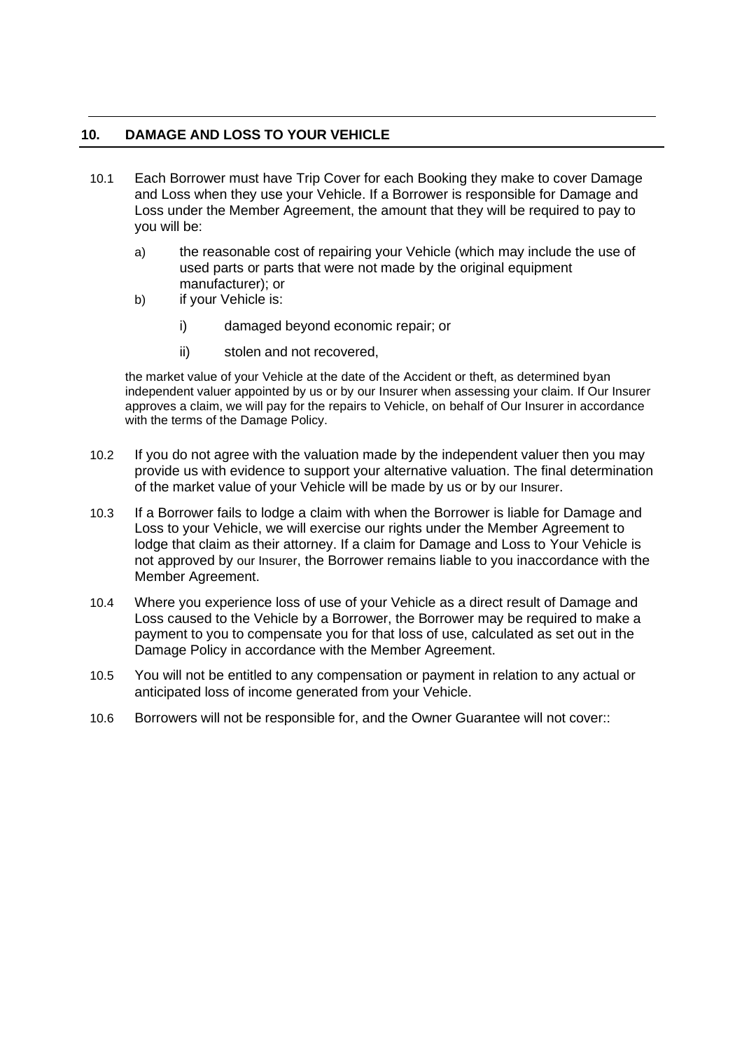#### **10. DAMAGE AND LOSS TO YOUR VEHICLE**

- 10.1 Each Borrower must have Trip Cover for each Booking they make to cover Damage and Loss when they use your Vehicle. If a Borrower is responsible for Damage and Loss under the Member Agreement, the amount that they will be required to pay to you will be:
	- a) the reasonable cost of repairing your Vehicle (which may include the use of used parts or parts that were not made by the original equipment manufacturer); or
	- b) if your Vehicle is:
		- i) damaged beyond economic repair; or
		- ii) stolen and not recovered,

the market value of your Vehicle at the date of the Accident or theft, as determined byan independent valuer appointed by us or by our Insurer when assessing your claim. If Our Insurer approves a claim, we will pay for the repairs to Vehicle, on behalf of Our Insurer in accordance with the terms of the Damage Policy.

- 10.2 If you do not agree with the valuation made by the independent valuer then you may provide us with evidence to support your alternative valuation. The final determination of the market value of your Vehicle will be made by us or by our Insurer.
- 10.3 If a Borrower fails to lodge a claim with when the Borrower is liable for Damage and Loss to your Vehicle, we will exercise our rights under the Member Agreement to lodge that claim as their attorney. If a claim for Damage and Loss to Your Vehicle is not approved by our Insurer, the Borrower remains liable to you inaccordance with the Member Agreement.
- 10.4 Where you experience loss of use of your Vehicle as a direct result of Damage and Loss caused to the Vehicle by a Borrower, the Borrower may be required to make a payment to you to compensate you for that loss of use, calculated as set out in the Damage Policy in accordance with the Member Agreement.
- 10.5 You will not be entitled to any compensation or payment in relation to any actual or anticipated loss of income generated from your Vehicle.
- 10.6 Borrowers will not be responsible for, and the Owner Guarantee will not cover::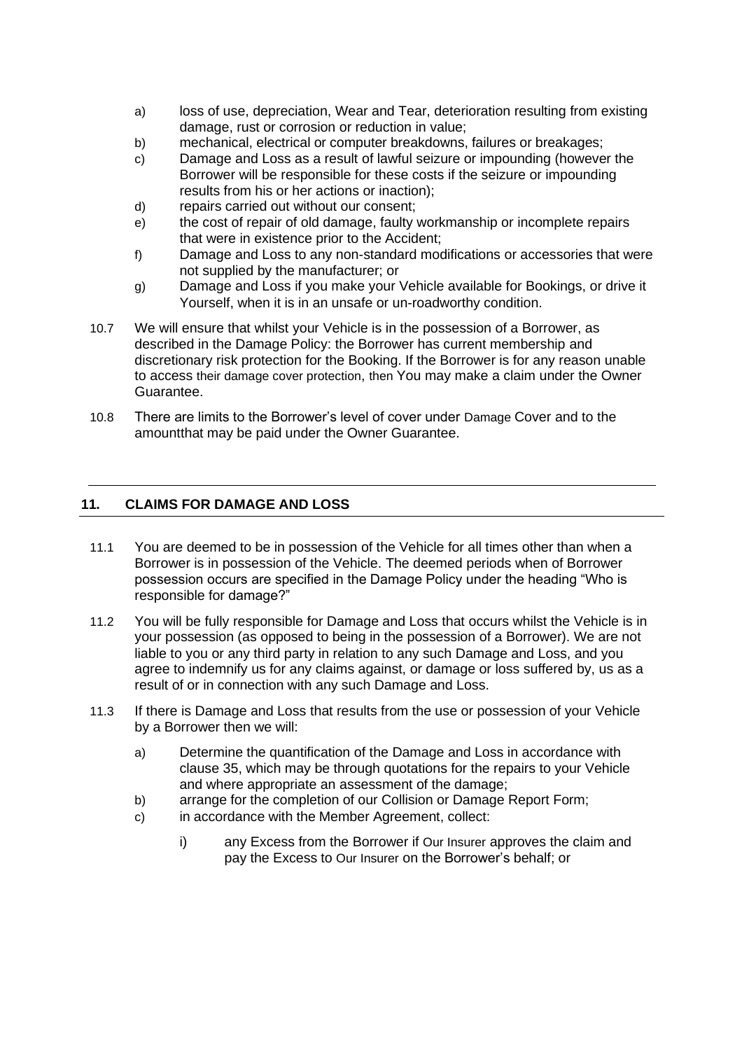- a) loss of use, depreciation, Wear and Tear, deterioration resulting from existing damage, rust or corrosion or reduction in value;
- b) mechanical, electrical or computer breakdowns, failures or breakages;
- c) Damage and Loss as a result of lawful seizure or impounding (however the Borrower will be responsible for these costs if the seizure or impounding results from his or her actions or inaction);
- d) repairs carried out without our consent;
- e) the cost of repair of old damage, faulty workmanship or incomplete repairs that were in existence prior to the Accident;
- f) Damage and Loss to any non-standard modifications or accessories that were not supplied by the manufacturer; or
- g) Damage and Loss if you make your Vehicle available for Bookings, or drive it Yourself, when it is in an unsafe or un-roadworthy condition.
- 10.7 We will ensure that whilst your Vehicle is in the possession of a Borrower, as described in the Damage Policy: the Borrower has current membership and discretionary risk protection for the Booking. If the Borrower is for any reason unable to access their damage cover protection, then You may make a claim under the Owner Guarantee.
- 10.8 There are limits to the Borrower's level of cover under Damage Cover and to the amountthat may be paid under the Owner Guarantee.

# **11. CLAIMS FOR DAMAGE AND LOSS**

- 11.1 You are deemed to be in possession of the Vehicle for all times other than when a Borrower is in possession of the Vehicle. The deemed periods when of Borrower possession occurs are specified in the Damage Policy under the heading "Who is responsible for damage?"
- 11.2 You will be fully responsible for Damage and Loss that occurs whilst the Vehicle is in your possession (as opposed to being in the possession of a Borrower). We are not liable to you or any third party in relation to any such Damage and Loss, and you agree to indemnify us for any claims against, or damage or loss suffered by, us as a result of or in connection with any such Damage and Loss.
- 11.3 If there is Damage and Loss that results from the use or possession of your Vehicle by a Borrower then we will:
	- a) Determine the quantification of the Damage and Loss in accordance with clause 35, which may be through quotations for the repairs to your Vehicle and where appropriate an assessment of the damage;
	- b) arrange for the completion of our Collision or Damage Report Form;
	- c) in accordance with the Member Agreement, collect:
		- i) any Excess from the Borrower if Our Insurer approves the claim and pay the Excess to Our Insurer on the Borrower's behalf; or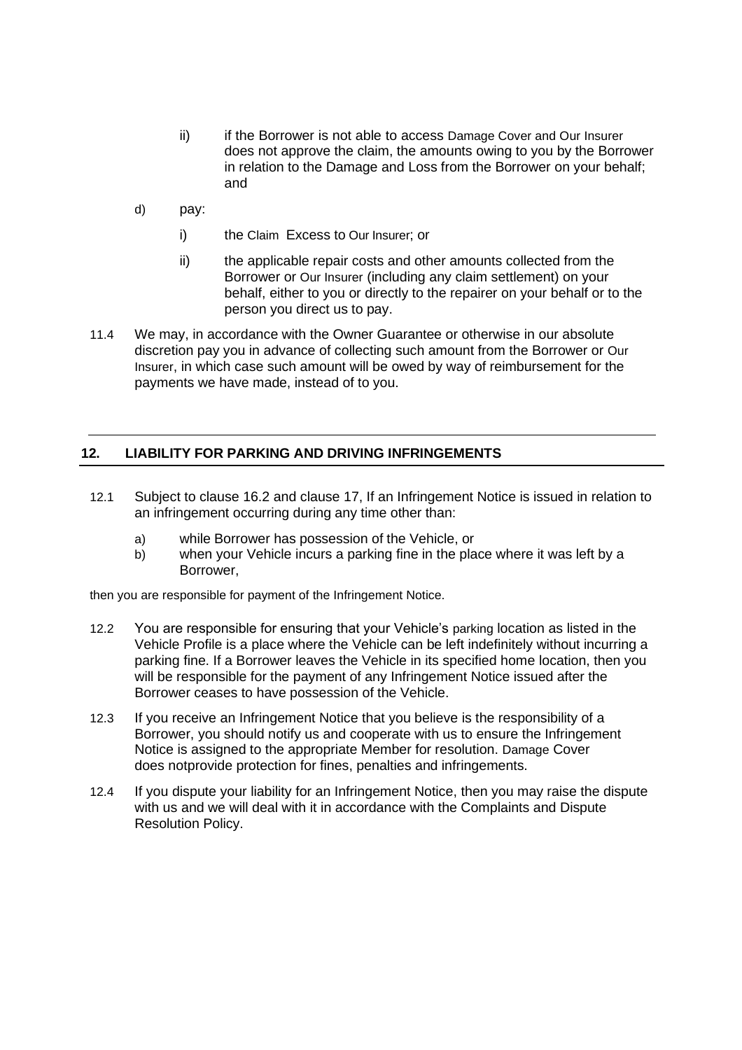- ii) ii if the Borrower is not able to access Damage Cover and Our Insurer does not approve the claim, the amounts owing to you by the Borrower in relation to the Damage and Loss from the Borrower on your behalf; and
- d) pay:
	- i) the Claim Excess to Our Insurer; or
	- ii) the applicable repair costs and other amounts collected from the Borrower or Our Insurer (including any claim settlement) on your behalf, either to you or directly to the repairer on your behalf or to the person you direct us to pay.
- 11.4 We may, in accordance with the Owner Guarantee or otherwise in our absolute discretion pay you in advance of collecting such amount from the Borrower or Our Insurer, in which case such amount will be owed by way of reimbursement for the payments we have made, instead of to you.

#### **12. LIABILITY FOR PARKING AND DRIVING INFRINGEMENTS**

- 12.1 Subject to clause 16.2 and clause 17, If an Infringement Notice is issued in relation to an infringement occurring during any time other than:
	- a) while Borrower has possession of the Vehicle, or
	- b) when your Vehicle incurs a parking fine in the place where it was left by a Borrower,

then you are responsible for payment of the Infringement Notice.

- 12.2 You are responsible for ensuring that your Vehicle's parking location as listed in the Vehicle Profile is a place where the Vehicle can be left indefinitely without incurring a parking fine. If a Borrower leaves the Vehicle in its specified home location, then you will be responsible for the payment of any Infringement Notice issued after the Borrower ceases to have possession of the Vehicle.
- 12.3 If you receive an Infringement Notice that you believe is the responsibility of a Borrower, you should notify us and cooperate with us to ensure the Infringement Notice is assigned to the appropriate Member for resolution. Damage Cover does notprovide protection for fines, penalties and infringements.
- 12.4 If you dispute your liability for an Infringement Notice, then you may raise the dispute with us and we will deal with it in accordance with the Complaints and Dispute Resolution Policy.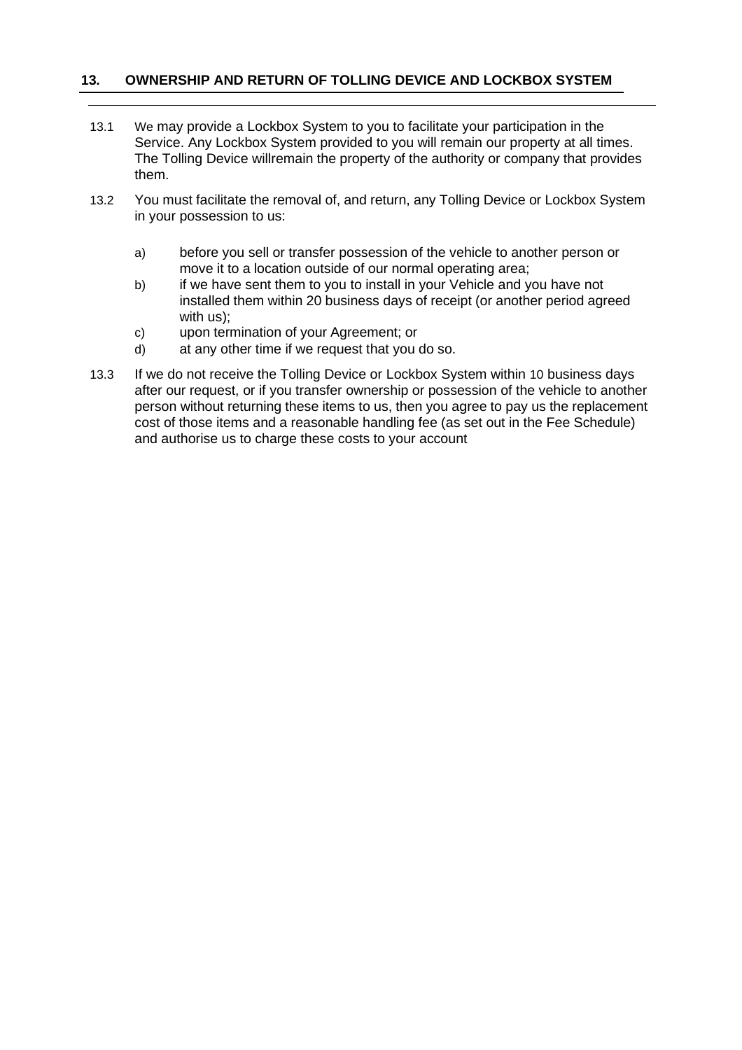#### **13. OWNERSHIP AND RETURN OF TOLLING DEVICE AND LOCKBOX SYSTEM**

- 13.1 We may provide a Lockbox System to you to facilitate your participation in the Service. Any Lockbox System provided to you will remain our property at all times. The Tolling Device willremain the property of the authority or company that provides them.
- 13.2 You must facilitate the removal of, and return, any Tolling Device or Lockbox System in your possession to us:
	- a) before you sell or transfer possession of the vehicle to another person or move it to a location outside of our normal operating area;
	- b) if we have sent them to you to install in your Vehicle and you have not installed them within 20 business days of receipt (or another period agreed with us);
	- c) upon termination of your Agreement; or
	- d) at any other time if we request that you do so.
- 13.3 If we do not receive the Tolling Device or Lockbox System within 10 business days after our request, or if you transfer ownership or possession of the vehicle to another person without returning these items to us, then you agree to pay us the replacement cost of those items and a reasonable handling fee (as set out in the Fee Schedule) and authorise us to charge these costs to your account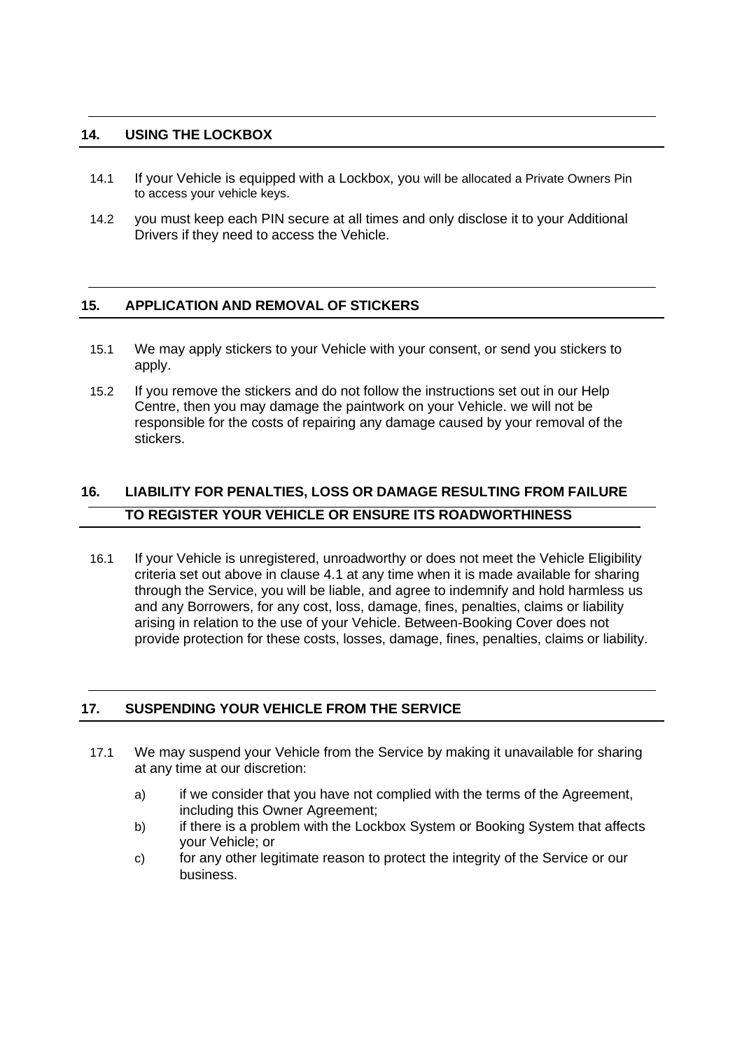#### **14. USING THE LOCKBOX**

- 14.1 If your Vehicle is equipped with a Lockbox, you will be allocated a Private Owners Pin to access your vehicle keys.
- 14.2 you must keep each PIN secure at all times and only disclose it to your Additional Drivers if they need to access the Vehicle.

#### **15. APPLICATION AND REMOVAL OF STICKERS**

- 15.1 We may apply stickers to your Vehicle with your consent, or send you stickers to apply.
- 15.2 If you remove the stickers and do not follow the instructions set out in our Help Centre, then you may damage the paintwork on your Vehicle. we will not be responsible for the costs of repairing any damage caused by your removal of the stickers.

# **16. LIABILITY FOR PENALTIES, LOSS OR DAMAGE RESULTING FROM FAILURE TO REGISTER YOUR VEHICLE OR ENSURE ITS ROADWORTHINESS**

16.1 If your Vehicle is unregistered, unroadworthy or does not meet the Vehicle Eligibility criteria set out above in clause 4.1 at any time when it is made available for sharing through the Service, you will be liable, and agree to indemnify and hold harmless us and any Borrowers, for any cost, loss, damage, fines, penalties, claims or liability arising in relation to the use of your Vehicle. Between-Booking Cover does not provide protection for these costs, losses, damage, fines, penalties, claims or liability.

#### **17. SUSPENDING YOUR VEHICLE FROM THE SERVICE**

- 17.1 We may suspend your Vehicle from the Service by making it unavailable for sharing at any time at our discretion:
	- a) if we consider that you have not complied with the terms of the Agreement, including this Owner Agreement;
	- b) if there is a problem with the Lockbox System or Booking System that affects your Vehicle; or
	- c) for any other legitimate reason to protect the integrity of the Service or our business.